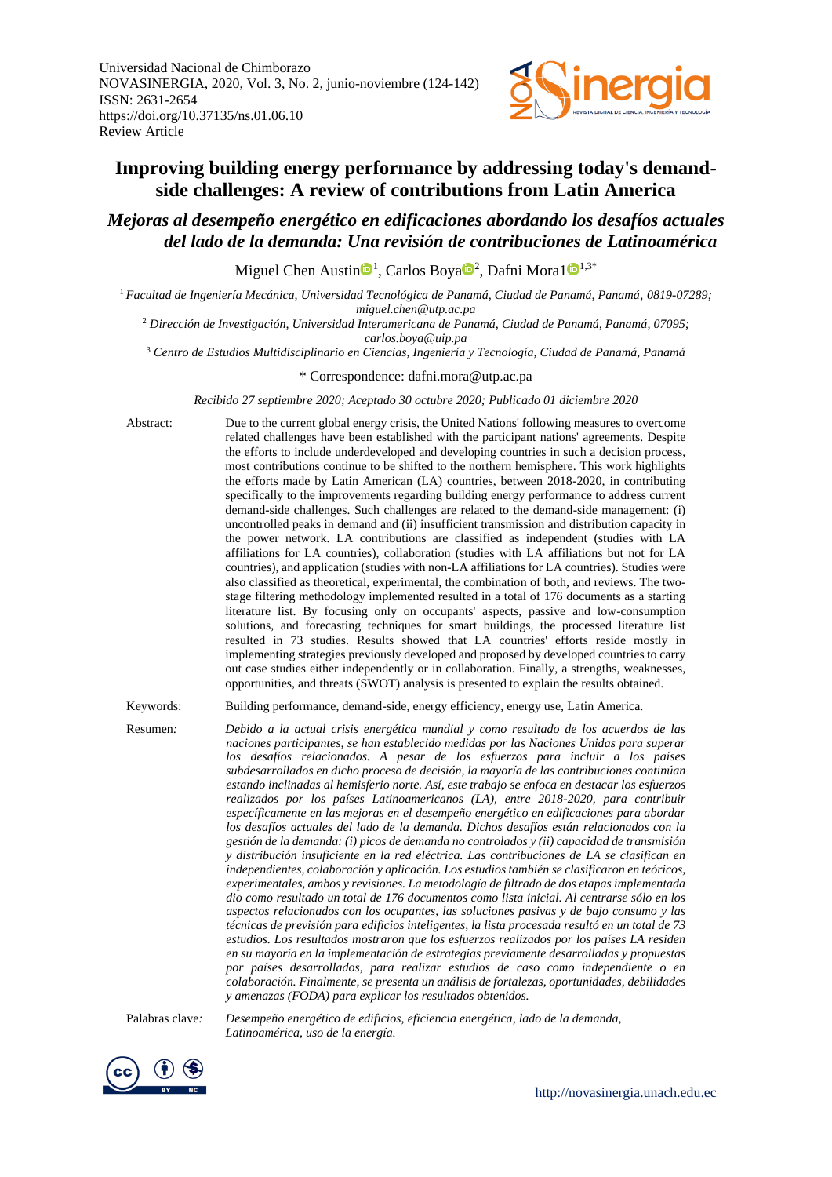

# **Improving building energy performance by addressing today's demandside challenges: A review of contributions from Latin America**

# *Mejoras al desempeño energético en edificaciones abordando los desafíos actuales del lado de la demanda: Una revisión de contribuciones de Latinoamérica*

Miguel Chen Austin<sup>®1</sup>, Carlos Boya<sup>®2</sup>, Dafni Mora1<sup>®1,3\*</sup>

<sup>1</sup> *Facultad de Ingeniería Mecánica, Universidad Tecnológica de Panamá, Ciudad de Panamá, Panamá, 0819-07289;*

*miguel.chen@utp.ac.pa*

<sup>2</sup> *Dirección de Investigación, Universidad Interamericana de Panamá, Ciudad de Panamá, Panamá, 07095; carlos.boya@uip.pa*

<sup>3</sup> *Centro de Estudios Multidisciplinario en Ciencias, Ingeniería y Tecnología, Ciudad de Panamá, Panamá*

\* Correspondence: dafni.mora@utp.ac.pa

*Recibido 27 septiembre 2020; Aceptado 30 octubre 2020; Publicado 01 diciembre 2020*

Abstract: Due to the current global energy crisis, the United Nations' following measures to overcome related challenges have been established with the participant nations' agreements. Despite the efforts to include underdeveloped and developing countries in such a decision process, most contributions continue to be shifted to the northern hemisphere. This work highlights the efforts made by Latin American (LA) countries, between 2018-2020, in contributing specifically to the improvements regarding building energy performance to address current demand-side challenges. Such challenges are related to the demand-side management: (i) uncontrolled peaks in demand and (ii) insufficient transmission and distribution capacity in the power network. LA contributions are classified as independent (studies with LA affiliations for LA countries), collaboration (studies with LA affiliations but not for LA countries), and application (studies with non-LA affiliations for LA countries). Studies were also classified as theoretical, experimental, the combination of both, and reviews. The twostage filtering methodology implemented resulted in a total of 176 documents as a starting literature list. By focusing only on occupants' aspects, passive and low-consumption solutions, and forecasting techniques for smart buildings, the processed literature list resulted in 73 studies. Results showed that LA countries' efforts reside mostly in implementing strategies previously developed and proposed by developed countries to carry out case studies either independently or in collaboration. Finally, a strengths, weaknesses, opportunities, and threats (SWOT) analysis is presented to explain the results obtained.

Keywords: Building performance, demand-side, energy efficiency, energy use, Latin America.

Resumen*: Debido a la actual crisis energética mundial y como resultado de los acuerdos de las naciones participantes, se han establecido medidas por las Naciones Unidas para superar los desafíos relacionados. A pesar de los esfuerzos para incluir a los países subdesarrollados en dicho proceso de decisión, la mayoría de las contribuciones continúan estando inclinadas al hemisferio norte. Así, este trabajo se enfoca en destacar los esfuerzos realizados por los países Latinoamericanos (LA), entre 2018-2020, para contribuir específicamente en las mejoras en el desempeño energético en edificaciones para abordar los desafíos actuales del lado de la demanda. Dichos desafíos están relacionados con la gestión de la demanda: (i) picos de demanda no controlados y (ii) capacidad de transmisión y distribución insuficiente en la red eléctrica. Las contribuciones de LA se clasifican en independientes, colaboración y aplicación. Los estudios también se clasificaron en teóricos, experimentales, ambos y revisiones. La metodología de filtrado de dos etapas implementada dio como resultado un total de 176 documentos como lista inicial. Al centrarse sólo en los aspectos relacionados con los ocupantes, las soluciones pasivas y de bajo consumo y las técnicas de previsión para edificios inteligentes, la lista procesada resultó en un total de 73 estudios. Los resultados mostraron que los esfuerzos realizados por los países LA residen en su mayoría en la implementación de estrategias previamente desarrolladas y propuestas por países desarrollados, para realizar estudios de caso como independiente o en colaboración. Finalmente, se presenta un análisis de fortalezas, oportunidades, debilidades y amenazas (FODA) para explicar los resultados obtenidos.*

Palabras clave*: Desempeño energético de edificios, eficiencia energética, lado de la demanda, Latinoamérica, uso de la energía.*

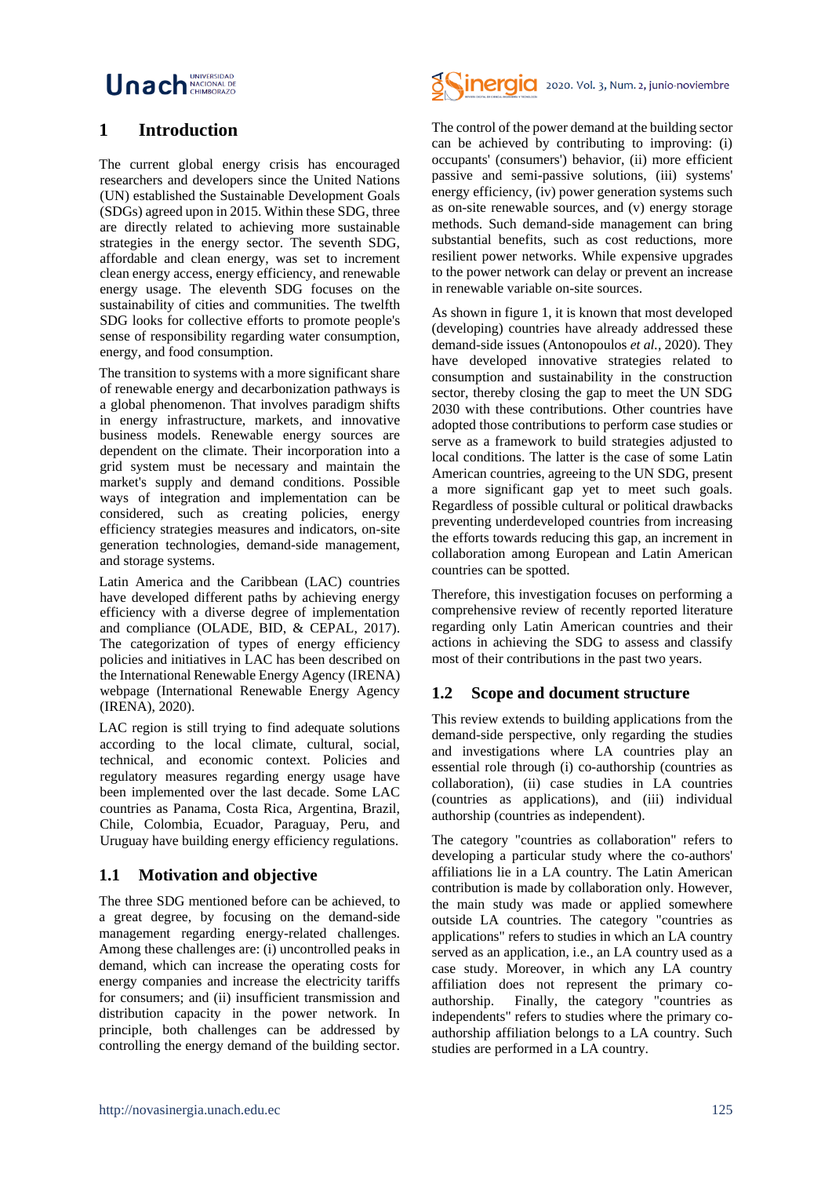# Unach **MACIONAL DI**

# **1 Introduction**

The current global energy crisis has encouraged researchers and developers since the United Nations (UN) established the Sustainable Development Goals (SDGs) agreed upon in 2015. Within these SDG, three are directly related to achieving more sustainable strategies in the energy sector. The seventh SDG, affordable and clean energy, was set to increment clean energy access, energy efficiency, and renewable energy usage. The eleventh SDG focuses on the sustainability of cities and communities. The twelfth SDG looks for collective efforts to promote people's sense of responsibility regarding water consumption, energy, and food consumption.

The transition to systems with a more significant share of renewable energy and decarbonization pathways is a global phenomenon. That involves paradigm shifts in energy infrastructure, markets, and innovative business models. Renewable energy sources are dependent on the climate. Their incorporation into a grid system must be necessary and maintain the market's supply and demand conditions. Possible ways of integration and implementation can be considered, such as creating policies, energy efficiency strategies measures and indicators, on-site generation technologies, demand-side management, and storage systems.

Latin America and the Caribbean (LAC) countries have developed different paths by achieving energy efficiency with a diverse degree of implementation and compliance (OLADE, BID, & CEPAL, 2017). The categorization of types of energy efficiency policies and initiatives in LAC has been described on the International Renewable Energy Agency (IRENA) webpage (International Renewable Energy Agency (IRENA), 2020).

LAC region is still trying to find adequate solutions according to the local climate, cultural, social, technical, and economic context. Policies and regulatory measures regarding energy usage have been implemented over the last decade. Some LAC countries as Panama, Costa Rica, Argentina, Brazil, Chile, Colombia, Ecuador, Paraguay, Peru, and Uruguay have building energy efficiency regulations.

### **1.1 Motivation and objective**

The three SDG mentioned before can be achieved, to a great degree, by focusing on the demand-side management regarding energy-related challenges. Among these challenges are: (i) uncontrolled peaks in demand, which can increase the operating costs for energy companies and increase the electricity tariffs for consumers; and (ii) insufficient transmission and distribution capacity in the power network. In principle, both challenges can be addressed by controlling the energy demand of the building sector.



The control of the power demand at the building sector can be achieved by contributing to improving: (i) occupants' (consumers') behavior, (ii) more efficient passive and semi-passive solutions, (iii) systems' energy efficiency, (iv) power generation systems such as on-site renewable sources, and (v) energy storage methods. Such demand-side management can bring substantial benefits, such as cost reductions, more resilient power networks. While expensive upgrades to the power network can delay or prevent an increase in renewable variable on-site sources.

As shown in figure 1, it is known that most developed (developing) countries have already addressed these demand-side issues (Antonopoulos *et al.,* 2020). They have developed innovative strategies related to consumption and sustainability in the construction sector, thereby closing the gap to meet the UN SDG 2030 with these contributions. Other countries have adopted those contributions to perform case studies or serve as a framework to build strategies adjusted to local conditions. The latter is the case of some Latin American countries, agreeing to the UN SDG, present a more significant gap yet to meet such goals. Regardless of possible cultural or political drawbacks preventing underdeveloped countries from increasing the efforts towards reducing this gap, an increment in collaboration among European and Latin American countries can be spotted.

Therefore, this investigation focuses on performing a comprehensive review of recently reported literature regarding only Latin American countries and their actions in achieving the SDG to assess and classify most of their contributions in the past two years.

### **1.2 Scope and document structure**

This review extends to building applications from the demand-side perspective, only regarding the studies and investigations where LA countries play an essential role through (i) co-authorship (countries as collaboration), (ii) case studies in LA countries (countries as applications), and (iii) individual authorship (countries as independent).

The category "countries as collaboration" refers to developing a particular study where the co-authors' affiliations lie in a LA country. The Latin American contribution is made by collaboration only. However, the main study was made or applied somewhere outside LA countries. The category "countries as applications" refers to studies in which an LA country served as an application, i.e., an LA country used as a case study. Moreover, in which any LA country affiliation does not represent the primary coauthorship. Finally, the category "countries as independents" refers to studies where the primary coauthorship affiliation belongs to a LA country. Such studies are performed in a LA country.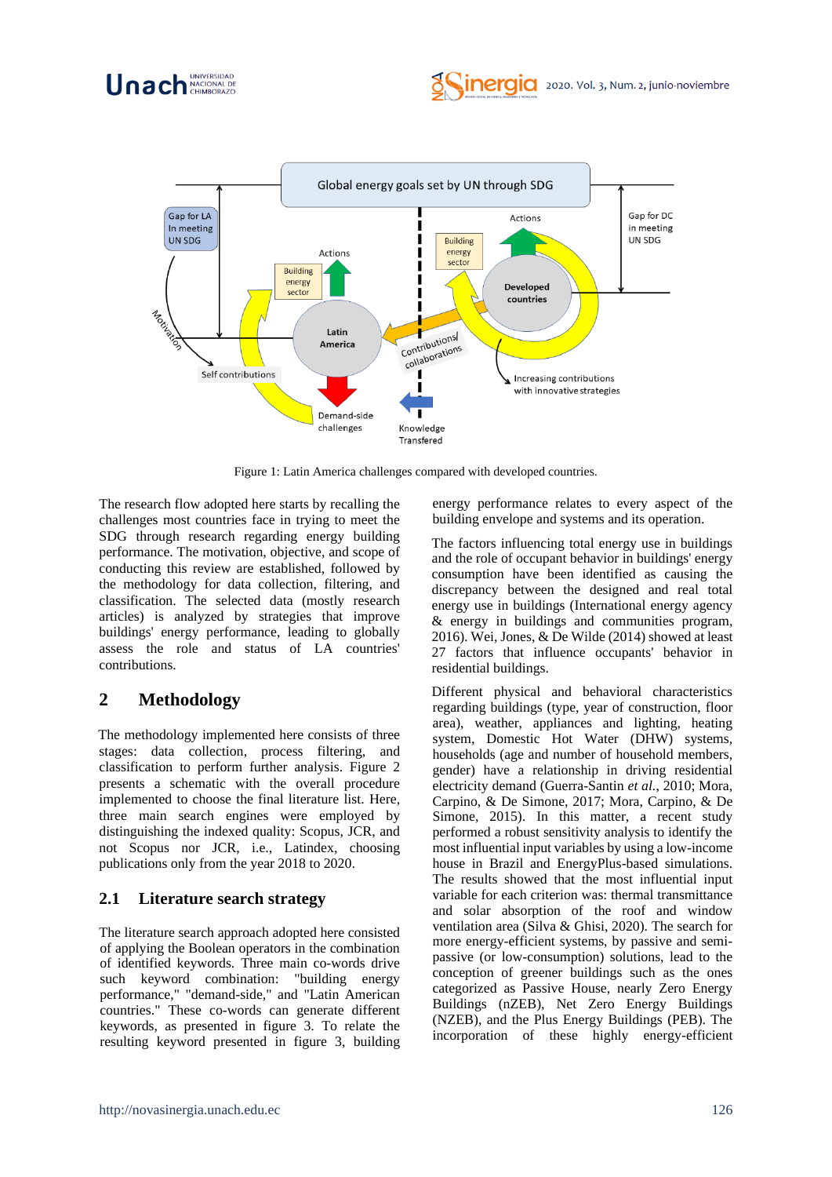



Figure 1: Latin America challenges compared with developed countries.

The research flow adopted here starts by recalling the challenges most countries face in trying to meet the SDG through research regarding energy building performance. The motivation, objective, and scope of conducting this review are established, followed by the methodology for data collection, filtering, and classification. The selected data (mostly research articles) is analyzed by strategies that improve buildings' energy performance, leading to globally assess the role and status of LA countries' contributions.

# **2 Methodology**

The methodology implemented here consists of three stages: data collection, process filtering, and classification to perform further analysis. Figure 2 presents a schematic with the overall procedure implemented to choose the final literature list. Here, three main search engines were employed by distinguishing the indexed quality: Scopus, JCR, and not Scopus nor JCR, i.e., Latindex, choosing publications only from the year 2018 to 2020.

# **2.1 Literature search strategy**

The literature search approach adopted here consisted of applying the Boolean operators in the combination of identified keywords. Three main co-words drive such keyword combination: "building energy performance," "demand-side," and "Latin American countries." These co-words can generate different keywords, as presented in figure 3. To relate the resulting keyword presented in figure 3, building

energy performance relates to every aspect of the building envelope and systems and its operation.

The factors influencing total energy use in buildings and the role of occupant behavior in buildings' energy consumption have been identified as causing the discrepancy between the designed and real total energy use in buildings (International energy agency & energy in buildings and communities program, 2016). Wei, Jones, & De Wilde (2014) showed at least 27 factors that influence occupants' behavior in residential buildings.

Different physical and behavioral characteristics regarding buildings (type, year of construction, floor area), weather, appliances and lighting, heating system, Domestic Hot Water (DHW) systems, households (age and number of household members, gender) have a relationship in driving residential electricity demand (Guerra-Santin *et al.*, 2010; Mora, Carpino, & De Simone, 2017; Mora, Carpino, & De Simone, 2015). In this matter, a recent study performed a robust sensitivity analysis to identify the most influential input variables by using a low-income house in Brazil and EnergyPlus-based simulations. The results showed that the most influential input variable for each criterion was: thermal transmittance and solar absorption of the roof and window ventilation area (Silva & Ghisi, 2020). The search for more energy-efficient systems, by passive and semipassive (or low-consumption) solutions, lead to the conception of greener buildings such as the ones categorized as Passive House, nearly Zero Energy Buildings (nZEB), Net Zero Energy Buildings (NZEB), and the Plus Energy Buildings (PEB). The incorporation of these highly energy-efficient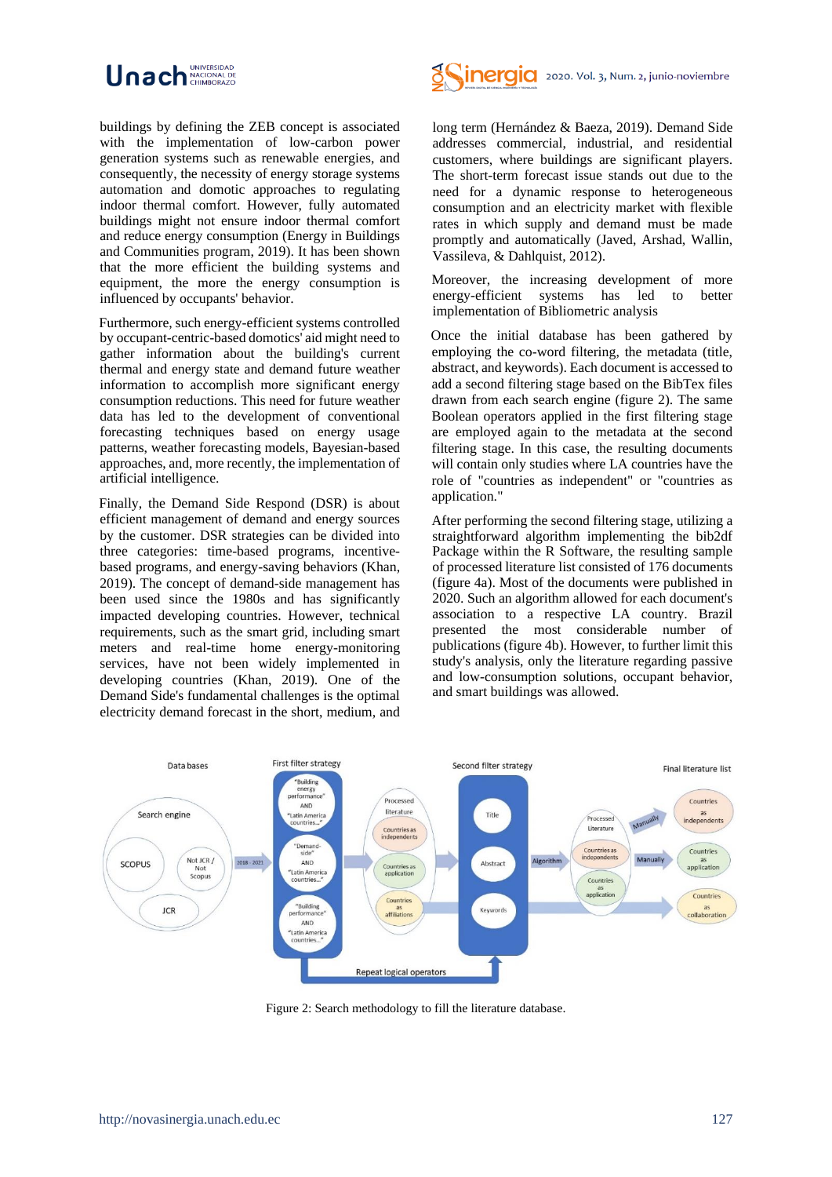

buildings by defining the ZEB concept is associated with the implementation of low-carbon power generation systems such as renewable energies, and consequently, the necessity of energy storage systems automation and domotic approaches to regulating indoor thermal comfort. However, fully automated buildings might not ensure indoor thermal comfort and reduce energy consumption (Energy in Buildings and Communities program, 2019). It has been shown that the more efficient the building systems and equipment, the more the energy consumption is influenced by occupants' behavior.

Furthermore, such energy-efficient systems controlled by occupant-centric-based domotics' aid might need to gather information about the building's current thermal and energy state and demand future weather information to accomplish more significant energy consumption reductions. This need for future weather data has led to the development of conventional forecasting techniques based on energy usage patterns, weather forecasting models, Bayesian-based approaches, and, more recently, the implementation of artificial intelligence.

Finally, the Demand Side Respond (DSR) is about efficient management of demand and energy sources by the customer. DSR strategies can be divided into three categories: time-based programs, incentivebased programs, and energy-saving behaviors (Khan, 2019). The concept of demand-side management has been used since the 1980s and has significantly impacted developing countries. However, technical requirements, such as the smart grid, including smart meters and real-time home energy-monitoring services, have not been widely implemented in developing countries (Khan, 2019). One of the Demand Side's fundamental challenges is the optimal electricity demand forecast in the short, medium, and



long term (Hernández & Baeza, 2019). Demand Side addresses commercial, industrial, and residential customers, where buildings are significant players. The short-term forecast issue stands out due to the need for a dynamic response to heterogeneous consumption and an electricity market with flexible rates in which supply and demand must be made promptly and automatically (Javed, Arshad, Wallin, Vassileva, & Dahlquist, 2012).

Moreover, the increasing development of more energy-efficient systems has led to better implementation of Bibliometric analysis

Once the initial database has been gathered by employing the co-word filtering, the metadata (title, abstract, and keywords). Each document is accessed to add a second filtering stage based on the BibTex files drawn from each search engine (figure 2). The same Boolean operators applied in the first filtering stage are employed again to the metadata at the second filtering stage. In this case, the resulting documents will contain only studies where LA countries have the role of "countries as independent" or "countries as application."

After performing the second filtering stage, utilizing a straightforward algorithm implementing the bib2df Package within the R Software, the resulting sample of processed literature list consisted of 176 documents (figure 4a). Most of the documents were published in 2020. Such an algorithm allowed for each document's association to a respective LA country. Brazil presented the most considerable number of publications (figure 4b). However, to further limit this study's analysis, only the literature regarding passive and low-consumption solutions, occupant behavior, and smart buildings was allowed.



Figure 2: Search methodology to fill the literature database.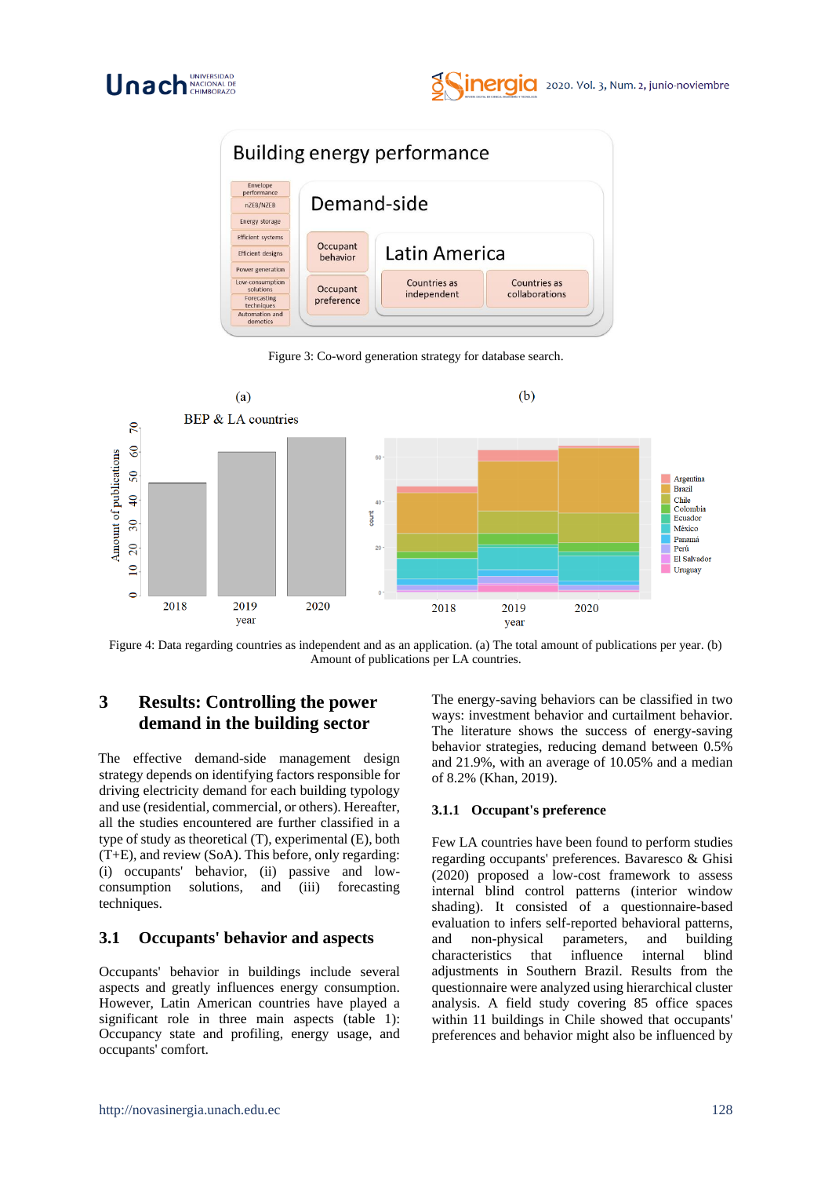



Figure 3: Co-word generation strategy for database search.



Figure 4: Data regarding countries as independent and as an application. (a) The total amount of publications per year. (b) Amount of publications per LA countries.

# **3 Results: Controlling the power demand in the building sector**

The effective demand-side management design strategy depends on identifying factors responsible for driving electricity demand for each building typology and use (residential, commercial, or others). Hereafter, all the studies encountered are further classified in a type of study as theoretical (T), experimental (E), both (T+E), and review (SoA). This before, only regarding: (i) occupants' behavior, (ii) passive and lowconsumption solutions, and (iii) forecasting techniques.

### **3.1 Occupants' behavior and aspects**

Occupants' behavior in buildings include several aspects and greatly influences energy consumption. However, Latin American countries have played a significant role in three main aspects (table 1): Occupancy state and profiling, energy usage, and occupants' comfort.

The energy-saving behaviors can be classified in two ways: investment behavior and curtailment behavior. The literature shows the success of energy-saving behavior strategies, reducing demand between 0.5% and 21.9%, with an average of 10.05% and a median of 8.2% (Khan, 2019).

#### **3.1.1 Occupant's preference**

Few LA countries have been found to perform studies regarding occupants' preferences. Bavaresco & Ghisi (2020) proposed a low-cost framework to assess internal blind control patterns (interior window shading). It consisted of a questionnaire-based evaluation to infers self-reported behavioral patterns, and non-physical parameters, and building characteristics that influence internal blind adjustments in Southern Brazil. Results from the questionnaire were analyzed using hierarchical cluster analysis. A field study covering 85 office spaces within 11 buildings in Chile showed that occupants' preferences and behavior might also be influenced by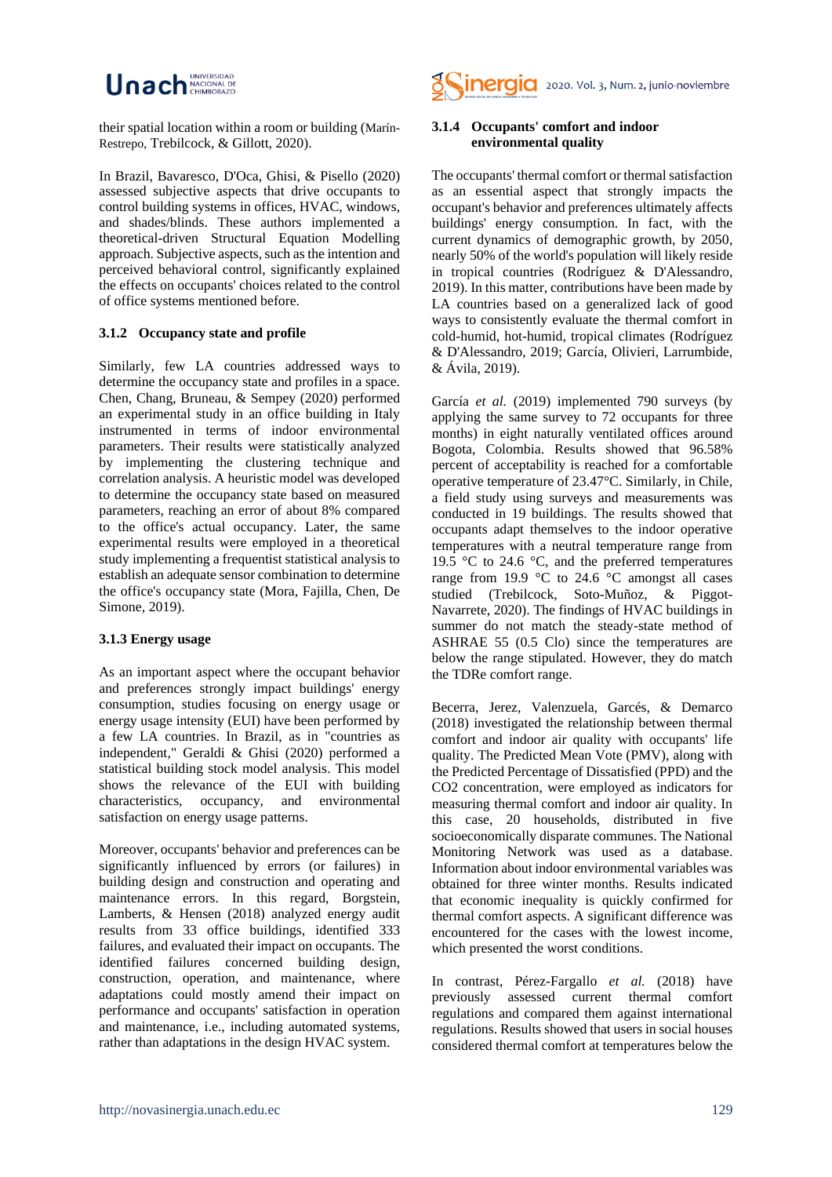# Unach **MACIONAL DI**

their spatial location within a room or building (Marín-Restrepo, Trebilcock, & Gillott, 2020).

In Brazil, Bavaresco, D'Oca, Ghisi, & Pisello (2020) assessed subjective aspects that drive occupants to control building systems in offices, HVAC, windows, and shades/blinds. These authors implemented a theoretical-driven Structural Equation Modelling approach. Subjective aspects, such as the intention and perceived behavioral control, significantly explained the effects on occupants' choices related to the control of office systems mentioned before.

#### **3.1.2 Occupancy state and profile**

Similarly, few LA countries addressed ways to determine the occupancy state and profiles in a space. Chen, Chang, Bruneau, & Sempey (2020) performed an experimental study in an office building in Italy instrumented in terms of indoor environmental parameters. Their results were statistically analyzed by implementing the clustering technique and correlation analysis. A heuristic model was developed to determine the occupancy state based on measured parameters, reaching an error of about 8% compared to the office's actual occupancy. Later, the same experimental results were employed in a theoretical study implementing a frequentist statistical analysis to establish an adequate sensor combination to determine the office's occupancy state (Mora, Fajilla, Chen, De Simone*,* 2019).

#### **3.1.3 Energy usage**

As an important aspect where the occupant behavior and preferences strongly impact buildings' energy consumption, studies focusing on energy usage or energy usage intensity (EUI) have been performed by a few LA countries. In Brazil, as in "countries as independent," Geraldi & Ghisi (2020) performed a statistical building stock model analysis. This model shows the relevance of the EUI with building characteristics, occupancy, and environmental satisfaction on energy usage patterns.

Moreover, occupants' behavior and preferences can be significantly influenced by errors (or failures) in building design and construction and operating and maintenance errors. In this regard, Borgstein, Lamberts, & Hensen (2018) analyzed energy audit results from 33 office buildings, identified 333 failures, and evaluated their impact on occupants. The identified failures concerned building design, construction, operation, and maintenance, where adaptations could mostly amend their impact on performance and occupants' satisfaction in operation and maintenance, i.e., including automated systems, rather than adaptations in the design HVAC system.



#### **3.1.4 Occupants' comfort and indoor environmental quality**

The occupants' thermal comfort or thermal satisfaction as an essential aspect that strongly impacts the occupant's behavior and preferences ultimately affects buildings' energy consumption. In fact, with the current dynamics of demographic growth, by 2050, nearly 50% of the world's population will likely reside in tropical countries (Rodríguez & D'Alessandro, 2019). In this matter, contributions have been made by LA countries based on a generalized lack of good ways to consistently evaluate the thermal comfort in cold-humid, hot-humid, tropical climates (Rodríguez & D'Alessandro, 2019; García, Olivieri, Larrumbide, & Ávila, 2019).

García *et al.* (2019) implemented 790 surveys (by applying the same survey to 72 occupants for three months) in eight naturally ventilated offices around Bogota, Colombia. Results showed that 96.58% percent of acceptability is reached for a comfortable operative temperature of 23.47°C. Similarly, in Chile, a field study using surveys and measurements was conducted in 19 buildings. The results showed that occupants adapt themselves to the indoor operative temperatures with a neutral temperature range from 19.5 °C to 24.6 °C, and the preferred temperatures range from 19.9  $\degree$ C to 24.6  $\degree$ C amongst all cases studied (Trebilcock, Soto-Muñoz, & Piggot-Navarrete, 2020). The findings of HVAC buildings in summer do not match the steady-state method of ASHRAE 55 (0.5 Clo) since the temperatures are below the range stipulated. However, they do match the TDRe comfort range.

Becerra, Jerez, Valenzuela, Garcés, & Demarco (2018) investigated the relationship between thermal comfort and indoor air quality with occupants' life quality. The Predicted Mean Vote (PMV), along with the Predicted Percentage of Dissatisfied (PPD) and the CO2 concentration, were employed as indicators for measuring thermal comfort and indoor air quality. In this case, 20 households, distributed in five socioeconomically disparate communes. The National Monitoring Network was used as a database. Information about indoor environmental variables was obtained for three winter months. Results indicated that economic inequality is quickly confirmed for thermal comfort aspects. A significant difference was encountered for the cases with the lowest income, which presented the worst conditions.

In contrast, Pérez-Fargallo *et al.* (2018) have previously assessed current thermal comfort regulations and compared them against international regulations. Results showed that users in social houses considered thermal comfort at temperatures below the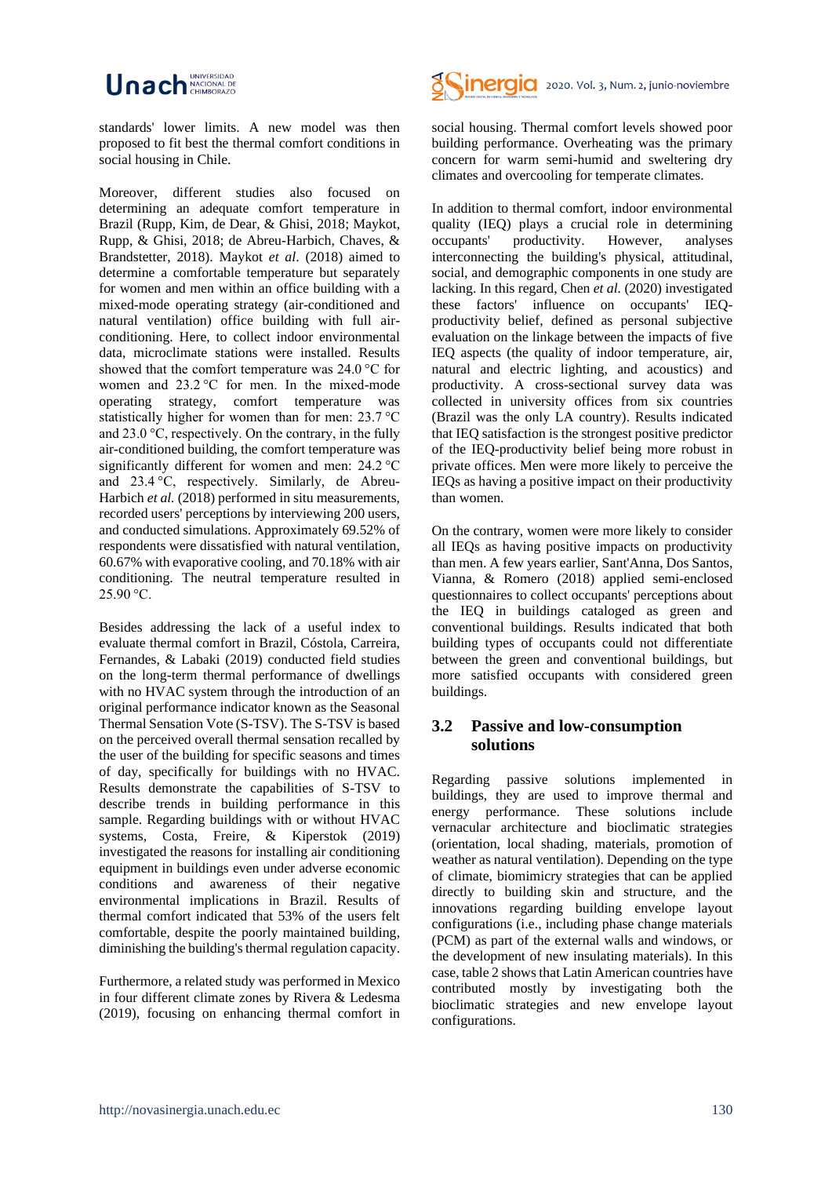# Unach **MACIONAL DI**

standards' lower limits. A new model was then proposed to fit best the thermal comfort conditions in social housing in Chile.

Moreover, different studies also focused on determining an adequate comfort temperature in Brazil (Rupp, Kim, de Dear, & Ghisi, 2018; Maykot, Rupp, & Ghisi, 2018; de Abreu-Harbich, Chaves, & Brandstetter, 2018). Maykot *et al*. (2018) aimed to determine a comfortable temperature but separately for women and men within an office building with a mixed-mode operating strategy (air-conditioned and natural ventilation) office building with full airconditioning. Here, to collect indoor environmental data, microclimate stations were installed. Results showed that the comfort temperature was 24.0 °C for women and 23.2 °C for men. In the mixed-mode operating strategy, comfort temperature was statistically higher for women than for men: 23.7 °C and 23.0 °C, respectively. On the contrary, in the fully air-conditioned building, the comfort temperature was significantly different for women and men: 24.2 °C and 23.4 °C, respectively. Similarly, de Abreu-Harbich *et al.* (2018) performed in situ measurements, recorded users' perceptions by interviewing 200 users, and conducted simulations. Approximately 69.52% of respondents were dissatisfied with natural ventilation, 60.67% with evaporative cooling, and 70.18% with air conditioning. The neutral temperature resulted in  $25.90 °C$ .

Besides addressing the lack of a useful index to evaluate thermal comfort in Brazil, Cóstola, Carreira, Fernandes, & Labaki (2019) conducted field studies on the long-term thermal performance of dwellings with no HVAC system through the introduction of an original performance indicator known as the Seasonal Thermal Sensation Vote (S-TSV). The S-TSV is based on the perceived overall thermal sensation recalled by the user of the building for specific seasons and times of day, specifically for buildings with no HVAC. Results demonstrate the capabilities of S-TSV to describe trends in building performance in this sample. Regarding buildings with or without HVAC systems, Costa, Freire, & Kiperstok (2019) investigated the reasons for installing air conditioning equipment in buildings even under adverse economic conditions and awareness of their negative environmental implications in Brazil. Results of thermal comfort indicated that 53% of the users felt comfortable, despite the poorly maintained building, diminishing the building's thermal regulation capacity.

Furthermore, a related study was performed in Mexico in four different climate zones by Rivera & Ledesma (2019), focusing on enhancing thermal comfort in



social housing. Thermal comfort levels showed poor building performance. Overheating was the primary concern for warm semi-humid and sweltering dry climates and overcooling for temperate climates.

In addition to thermal comfort, indoor environmental quality (IEQ) plays a crucial role in determining occupants' productivity. However, analyses interconnecting the building's physical, attitudinal, social, and demographic components in one study are lacking. In this regard, Chen *et al.* (2020) investigated these factors' influence on occupants' IEQproductivity belief, defined as personal subjective evaluation on the linkage between the impacts of five IEQ aspects (the quality of indoor temperature, air, natural and electric lighting, and acoustics) and productivity. A cross-sectional survey data was collected in university offices from six countries (Brazil was the only LA country). Results indicated that IEQ satisfaction is the strongest positive predictor of the IEQ-productivity belief being more robust in private offices. Men were more likely to perceive the IEQs as having a positive impact on their productivity than women.

On the contrary, women were more likely to consider all IEQs as having positive impacts on productivity than men. A few years earlier, Sant'Anna, Dos Santos, Vianna, & Romero (2018) applied semi-enclosed questionnaires to collect occupants' perceptions about the IEQ in buildings cataloged as green and conventional buildings. Results indicated that both building types of occupants could not differentiate between the green and conventional buildings, but more satisfied occupants with considered green buildings.

## **3.2 Passive and low-consumption solutions**

Regarding passive solutions implemented in buildings, they are used to improve thermal and energy performance. These solutions include vernacular architecture and bioclimatic strategies (orientation, local shading, materials, promotion of weather as natural ventilation). Depending on the type of climate, biomimicry strategies that can be applied directly to building skin and structure, and the innovations regarding building envelope layout configurations (i.e., including phase change materials (PCM) as part of the external walls and windows, or the development of new insulating materials). In this case, table 2 shows that Latin American countries have contributed mostly by investigating both the bioclimatic strategies and new envelope layout configurations.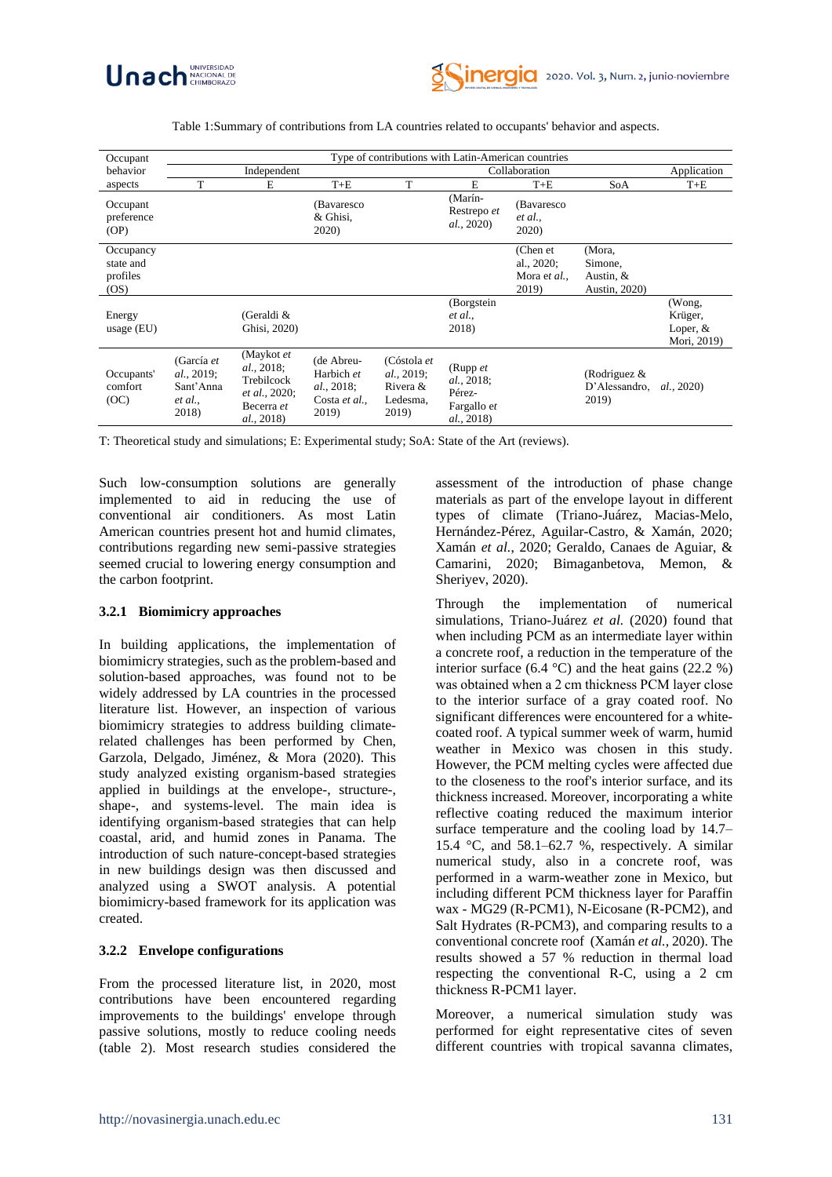



Table 1:Summary of contributions from LA countries related to occupants' behavior and aspects.

| Occupant                                  | Type of contributions with Latin-American countries       |                                                                                                     |                                                                  |                                                            |                                                                 |                                                 |                                                   |                                                |  |
|-------------------------------------------|-----------------------------------------------------------|-----------------------------------------------------------------------------------------------------|------------------------------------------------------------------|------------------------------------------------------------|-----------------------------------------------------------------|-------------------------------------------------|---------------------------------------------------|------------------------------------------------|--|
| behavior                                  |                                                           | Independent                                                                                         |                                                                  |                                                            | Collaboration                                                   |                                                 |                                                   |                                                |  |
| aspects                                   | T                                                         | E                                                                                                   | $T+E$                                                            | T                                                          | E                                                               | $T+E$                                           | SoA                                               | $T+E$                                          |  |
| Occupant<br>preference<br>(OP)            |                                                           |                                                                                                     | (Bavaresco)<br>& Ghisi.<br>2020)                                 |                                                            | (Marín-<br>Restrepo et<br><i>al.</i> , 2020)                    | (Bavaresco)<br>et al.,<br>2020)                 |                                                   |                                                |  |
| Occupancy<br>state and<br>profiles<br>OS) |                                                           |                                                                                                     |                                                                  |                                                            |                                                                 | (Chen et<br>al., 2020;<br>Mora et al.,<br>2019) | (Mora,<br>Simone,<br>Austin, $&$<br>Austin, 2020) |                                                |  |
| Energy<br>usage (EU)                      |                                                           | (Geraldi &<br>Ghisi, 2020)                                                                          |                                                                  |                                                            | (Borgstein<br>et al.,<br>2018)                                  |                                                 |                                                   | (Wong,<br>Krüger,<br>Loper, $&$<br>Mori, 2019) |  |
| Occupants'<br>comfort<br>(OC)             | (García et<br>al., 2019;<br>Sant'Anna<br>et al.,<br>2018) | (Maykot et<br><i>al.</i> , 2018;<br>Trebilcock<br><i>et al.</i> , 2020;<br>Becerra et<br>al., 2018) | (de Abreu-<br>Harbich et<br>al., 2018;<br>Costa et al.,<br>2019) | (Cóstola et<br>al., 2019;<br>Rivera &<br>Ledesma,<br>2019) | (Rupp $et$<br>al., 2018;<br>Pérez-<br>Fargallo et<br>al., 2018) |                                                 | (Rodriguez $&$<br>D'Alessandro.<br>2019)          | <i>al.</i> , 2020)                             |  |

T: Theoretical study and simulations; E: Experimental study; SoA: State of the Art (reviews).

Such low-consumption solutions are generally implemented to aid in reducing the use of conventional air conditioners. As most Latin American countries present hot and humid climates, contributions regarding new semi-passive strategies seemed crucial to lowering energy consumption and the carbon footprint.

#### **3.2.1 Biomimicry approaches**

In building applications, the implementation of biomimicry strategies, such as the problem-based and solution-based approaches, was found not to be widely addressed by LA countries in the processed literature list. However, an inspection of various biomimicry strategies to address building climaterelated challenges has been performed by Chen, Garzola, Delgado, Jiménez, & Mora (2020). This study analyzed existing organism-based strategies applied in buildings at the envelope-, structure-, shape-, and systems-level. The main idea is identifying organism-based strategies that can help coastal, arid, and humid zones in Panama. The introduction of such nature-concept-based strategies in new buildings design was then discussed and analyzed using a SWOT analysis. A potential biomimicry-based framework for its application was created.

#### **3.2.2 Envelope configurations**

From the processed literature list, in 2020, most contributions have been encountered regarding improvements to the buildings' envelope through passive solutions, mostly to reduce cooling needs (table 2). Most research studies considered the assessment of the introduction of phase change materials as part of the envelope layout in different types of climate (Triano-Juárez, Macias-Melo, Hernández-Pérez, Aguilar-Castro, & Xamán, 2020; Xamán *et al.*, 2020; Geraldo, Canaes de Aguiar, & Camarini, 2020; Bimaganbetova, Memon, & Sheriyev, 2020).

Through the implementation of numerical simulations, Triano-Juárez *et al.* (2020) found that when including PCM as an intermediate layer within a concrete roof, a reduction in the temperature of the interior surface  $(6.4 \text{ °C})$  and the heat gains  $(22.2 \text{ °C})$ was obtained when a 2 cm thickness PCM layer close to the interior surface of a gray coated roof. No significant differences were encountered for a whitecoated roof. A typical summer week of warm, humid weather in Mexico was chosen in this study. However, the PCM melting cycles were affected due to the closeness to the roof's interior surface, and its thickness increased. Moreover, incorporating a white reflective coating reduced the maximum interior surface temperature and the cooling load by 14.7– 15.4 °C, and 58.1–62.7 %, respectively. A similar numerical study, also in a concrete roof, was performed in a warm-weather zone in Mexico, but including different PCM thickness layer for Paraffin wax - MG29 (R-PCM1), N-Eicosane (R-PCM2), and Salt Hydrates (R-PCM3), and comparing results to a conventional concrete roof (Xamán *et al.,* 2020). The results showed a 57 % reduction in thermal load respecting the conventional R-C, using a 2 cm thickness R-PCM1 layer.

Moreover, a numerical simulation study was performed for eight representative cites of seven different countries with tropical savanna climates,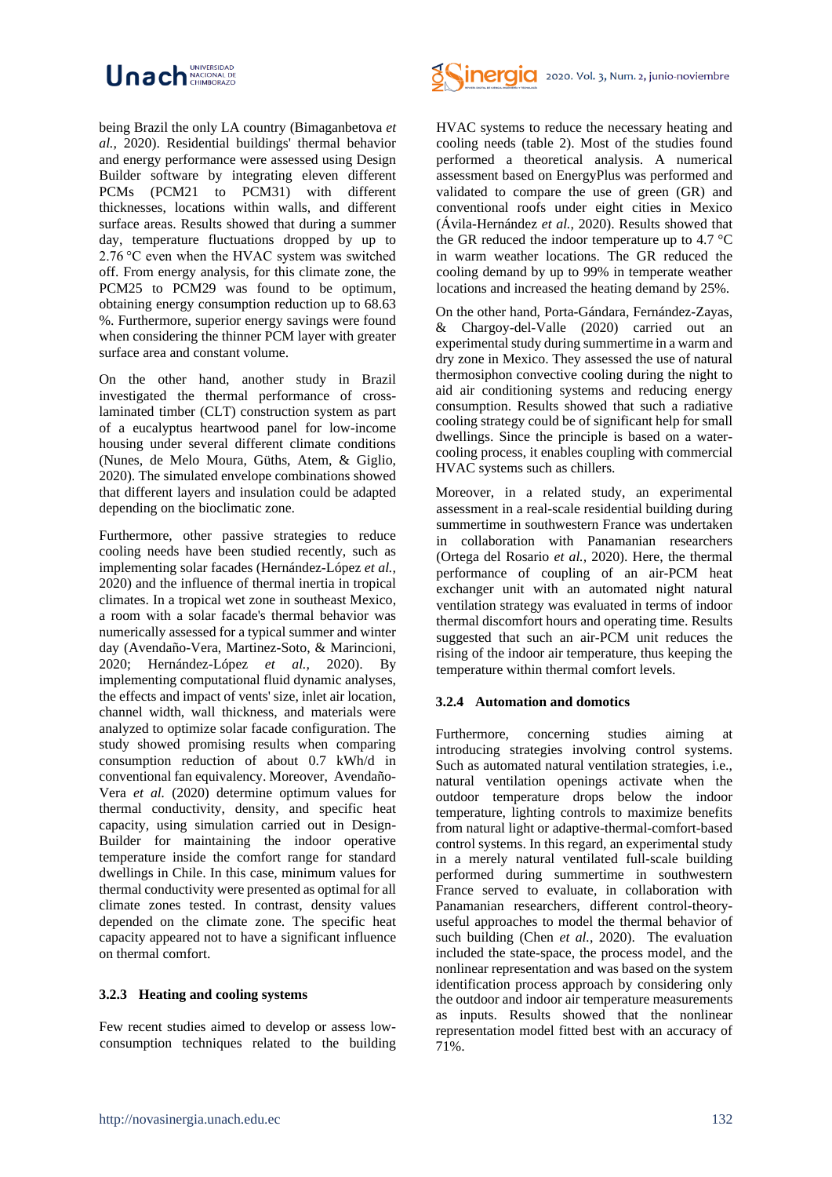

being Brazil the only LA country (Bimaganbetova *et al.,* 2020). Residential buildings' thermal behavior and energy performance were assessed using Design Builder software by integrating eleven different PCMs (PCM21 to PCM31) with different thicknesses, locations within walls, and different surface areas. Results showed that during a summer day, temperature fluctuations dropped by up to 2.76 °C even when the HVAC system was switched off. From energy analysis, for this climate zone, the PCM25 to PCM29 was found to be optimum, obtaining energy consumption reduction up to 68.63 %. Furthermore, superior energy savings were found when considering the thinner PCM layer with greater surface area and constant volume.

On the other hand, another study in Brazil investigated the thermal performance of crosslaminated timber (CLT) construction system as part of a eucalyptus heartwood panel for low-income housing under several different climate conditions (Nunes, de Melo Moura, Güths, Atem, & Giglio, 2020). The simulated envelope combinations showed that different layers and insulation could be adapted depending on the bioclimatic zone.

Furthermore, other passive strategies to reduce cooling needs have been studied recently, such as implementing solar facades (Hernández-López *et al.,* 2020) and the influence of thermal inertia in tropical climates. In a tropical wet zone in southeast Mexico, a room with a solar facade's thermal behavior was numerically assessed for a typical summer and winter day (Avendaño-Vera, Martinez-Soto, & Marincioni, 2020; Hernández-López *et al.,* 2020). By implementing computational fluid dynamic analyses, the effects and impact of vents' size, inlet air location, channel width, wall thickness, and materials were analyzed to optimize solar facade configuration. The study showed promising results when comparing consumption reduction of about 0.7 kWh/d in conventional fan equivalency. Moreover, Avendaño-Vera *et al.* (2020) determine optimum values for thermal conductivity, density, and specific heat capacity, using simulation carried out in Design-Builder for maintaining the indoor operative temperature inside the comfort range for standard dwellings in Chile. In this case, minimum values for thermal conductivity were presented as optimal for all climate zones tested. In contrast, density values depended on the climate zone. The specific heat capacity appeared not to have a significant influence on thermal comfort.

#### **3.2.3 Heating and cooling systems**

Few recent studies aimed to develop or assess lowconsumption techniques related to the building



HVAC systems to reduce the necessary heating and cooling needs (table 2). Most of the studies found performed a theoretical analysis. A numerical assessment based on EnergyPlus was performed and validated to compare the use of green (GR) and conventional roofs under eight cities in Mexico (Ávila-Hernández *et al.,* 2020). Results showed that the GR reduced the indoor temperature up to 4.7 °C in warm weather locations. The GR reduced the cooling demand by up to 99% in temperate weather locations and increased the heating demand by 25%.

On the other hand, Porta-Gándara, Fernández-Zayas, & Chargoy-del-Valle (2020) carried out an experimental study during summertime in a warm and dry zone in Mexico. They assessed the use of natural thermosiphon convective cooling during the night to aid air conditioning systems and reducing energy consumption. Results showed that such a radiative cooling strategy could be of significant help for small dwellings. Since the principle is based on a watercooling process, it enables coupling with commercial HVAC systems such as chillers.

Moreover, in a related study, an experimental assessment in a real-scale residential building during summertime in southwestern France was undertaken in collaboration with Panamanian researchers (Ortega del Rosario *et al.,* 2020). Here, the thermal performance of coupling of an air-PCM heat exchanger unit with an automated night natural ventilation strategy was evaluated in terms of indoor thermal discomfort hours and operating time. Results suggested that such an air-PCM unit reduces the rising of the indoor air temperature, thus keeping the temperature within thermal comfort levels.

#### **3.2.4 Automation and domotics**

Furthermore, concerning studies aiming at introducing strategies involving control systems. Such as automated natural ventilation strategies, i.e., natural ventilation openings activate when the outdoor temperature drops below the indoor temperature, lighting controls to maximize benefits from natural light or adaptive-thermal-comfort-based control systems. In this regard, an experimental study in a merely natural ventilated full-scale building performed during summertime in southwestern France served to evaluate, in collaboration with Panamanian researchers, different control-theoryuseful approaches to model the thermal behavior of such building (Chen *et al.*, 2020). The evaluation included the state-space, the process model, and the nonlinear representation and was based on the system identification process approach by considering only the outdoor and indoor air temperature measurements as inputs. Results showed that the nonlinear representation model fitted best with an accuracy of 71%.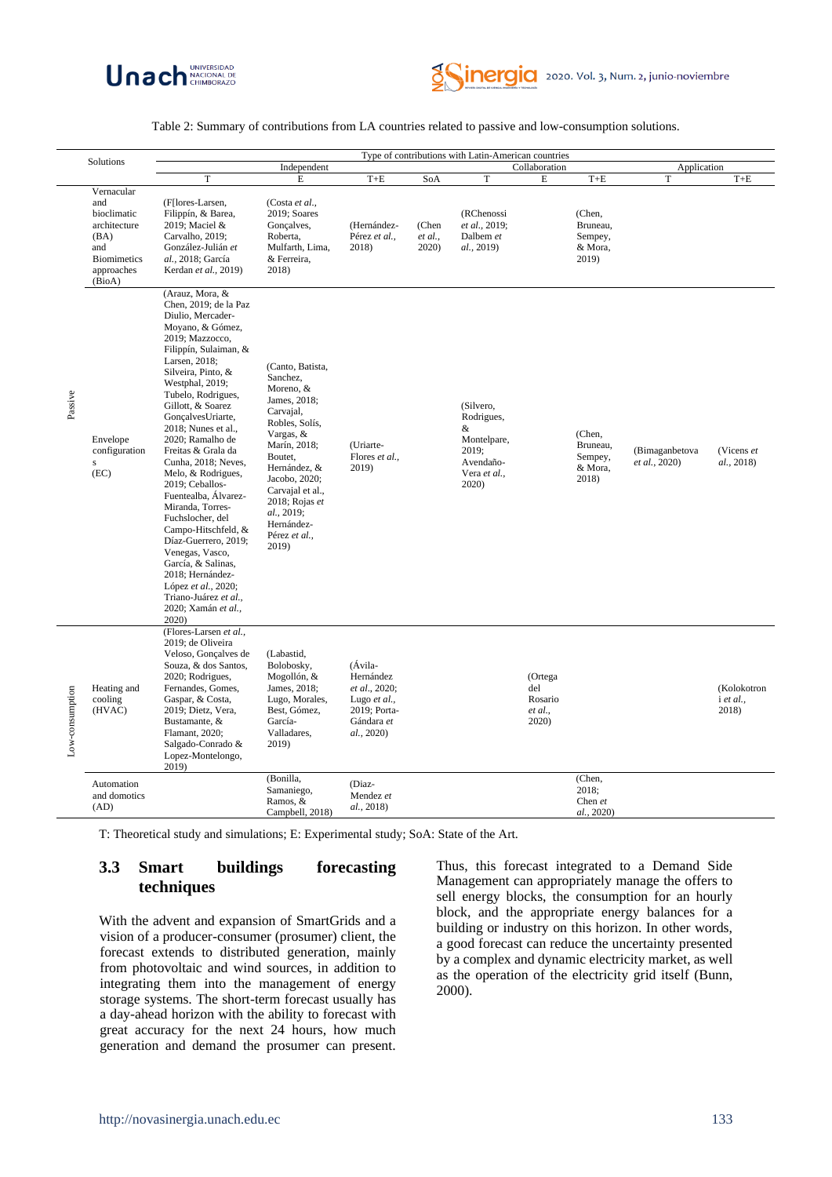



#### Table 2: Summary of contributions from LA countries related to passive and low-consumption solutions.

| Solutions       |                                                                                                                                            | Type of contributions with Latin-American countries                                                                                                                                                                                                                                                                                                                                                                                                                             |                                                                                                                                                                                                                                   |                                                                                                   |                                  |                                                                                                                     |                                               |                                                                                  |                               |                                   |
|-----------------|--------------------------------------------------------------------------------------------------------------------------------------------|---------------------------------------------------------------------------------------------------------------------------------------------------------------------------------------------------------------------------------------------------------------------------------------------------------------------------------------------------------------------------------------------------------------------------------------------------------------------------------|-----------------------------------------------------------------------------------------------------------------------------------------------------------------------------------------------------------------------------------|---------------------------------------------------------------------------------------------------|----------------------------------|---------------------------------------------------------------------------------------------------------------------|-----------------------------------------------|----------------------------------------------------------------------------------|-------------------------------|-----------------------------------|
|                 |                                                                                                                                            |                                                                                                                                                                                                                                                                                                                                                                                                                                                                                 | Independent                                                                                                                                                                                                                       |                                                                                                   |                                  | Collaboration                                                                                                       |                                               |                                                                                  | Application                   |                                   |
| Passive         | Vernacular<br>and<br>bioclimatic<br>architecture<br>(BA)<br>and<br><b>Biomimetics</b><br>approaches<br>(BioA)<br>Envelope<br>configuration | T<br>(F[lores-Larsen,<br>Filippín, & Barea,<br>2019; Maciel &<br>Carvalho, 2019;<br>González-Julián et<br>al., 2018; García<br>Kerdan et al., 2019)<br>(Arauz, Mora, &<br>Chen, 2019; de la Paz<br>Diulio, Mercader-<br>Moyano, & Gómez,<br>2019; Mazzocco,<br>Filippín, Sulaiman, &<br>Larsen, 2018;<br>Silveira, Pinto, &<br>Westphal, 2019;<br>Tubelo, Rodrigues,<br>Gillott, & Soarez<br>GonçalvesUriarte,<br>2018; Nunes et al.,<br>2020; Ramalho de<br>Freitas & Grala da | E<br>(Costa et al.,<br>2019; Soares<br>Gonçalves,<br>Roberta,<br>Mulfarth, Lima,<br>& Ferreira,<br>2018)<br>(Canto, Batista,<br>Sanchez,<br>Moreno, &<br>James, 2018;<br>Carvajal,<br>Robles, Solís,<br>Vargas, &<br>Marín, 2018; | $\mbox{T+E}$<br>(Hernández-<br>Pérez et al.,<br>2018)<br>(Uriarte-                                | SoA<br>(Chen<br>et al.,<br>2020) | T<br>(RChenossi<br>et al., 2019;<br>Dalbem et<br>al., 2019)<br>(Silvero,<br>Rodrigues,<br>&<br>Montelpare,<br>2019; | E                                             | $T+E$<br>(Chen,<br>Bruneau,<br>Sempey,<br>& Mora,<br>2019)<br>(Chen,<br>Bruneau, | $\mathbf T$<br>(Bimaganbetova | $T+E$<br>(Vicens et               |
|                 | s<br>(EC)                                                                                                                                  | Cunha, 2018; Neves,<br>Melo, & Rodrigues,<br>2019; Ceballos-<br>Fuentealba, Álvarez-<br>Miranda, Torres-<br>Fuchslocher, del<br>Campo-Hitschfeld, &<br>Díaz-Guerrero, 2019;<br>Venegas, Vasco,<br>García, & Salinas,<br>2018; Hernández-<br>López et al., 2020;<br>Triano-Juárez et al.,<br>2020; Xamán et al.,<br>2020)                                                                                                                                                        | Boutet,<br>Hernández, &<br>2019)<br>Jacobo, 2020;<br>Carvajal et al.,<br>2018; Rojas et<br>al., 2019;<br>Hernández-<br>Pérez et al.,<br>2019)                                                                                     | Flores et al.,                                                                                    |                                  | Avendaño-<br>Vera et al.,<br>2020                                                                                   |                                               | Sempey,<br>& Mora,<br>2018)                                                      | et al., 2020)                 | al., 2018)                        |
| Low-consumption | Heating and<br>cooling<br>(HVAC)                                                                                                           | (Flores-Larsen et al.,<br>2019; de Oliveira<br>Veloso, Gonçalves de<br>Souza, & dos Santos,<br>2020; Rodrigues,<br>Fernandes, Gomes,<br>Gaspar, & Costa,<br>2019; Dietz, Vera,<br>Bustamante, &<br>Flamant, 2020;<br>Salgado-Conrado &<br>Lopez-Montelongo,<br>2019)                                                                                                                                                                                                            | (Labastid,<br>Bolobosky,<br>Mogollón, &<br>James, 2018;<br>Lugo, Morales,<br>Best, Gómez,<br>García-<br>Valladares,<br>2019)                                                                                                      | (Ávila-<br>Hernández<br>et al., 2020;<br>Lugo et al.,<br>2019; Porta-<br>Gándara et<br>al., 2020) |                                  |                                                                                                                     | (Ortega<br>del<br>Rosario<br>et al.,<br>2020) |                                                                                  |                               | (Kolokotron<br>i et al.,<br>2018) |
|                 | Automation<br>and domotics<br>(AD)                                                                                                         |                                                                                                                                                                                                                                                                                                                                                                                                                                                                                 | (Bonilla,<br>Samaniego,<br>Ramos, &<br>Campbell, 2018)                                                                                                                                                                            | (Diaz-<br>Mendez et<br>al., 2018)                                                                 |                                  |                                                                                                                     |                                               | (Chen,<br>2018;<br>Chen et<br>al., 2020)                                         |                               |                                   |

T: Theoretical study and simulations; E: Experimental study; SoA: State of the Art.

# **3.3 Smart buildings forecasting techniques**

With the advent and expansion of SmartGrids and a vision of a producer-consumer (prosumer) client, the forecast extends to distributed generation, mainly from photovoltaic and wind sources, in addition to integrating them into the management of energy storage systems. The short-term forecast usually has a day-ahead horizon with the ability to forecast with great accuracy for the next 24 hours, how much generation and demand the prosumer can present.

Thus, this forecast integrated to a Demand Side Management can appropriately manage the offers to sell energy blocks, the consumption for an hourly block, and the appropriate energy balances for a building or industry on this horizon. In other words, a good forecast can reduce the uncertainty presented by a complex and dynamic electricity market, as well as the operation of the electricity grid itself (Bunn, 2000).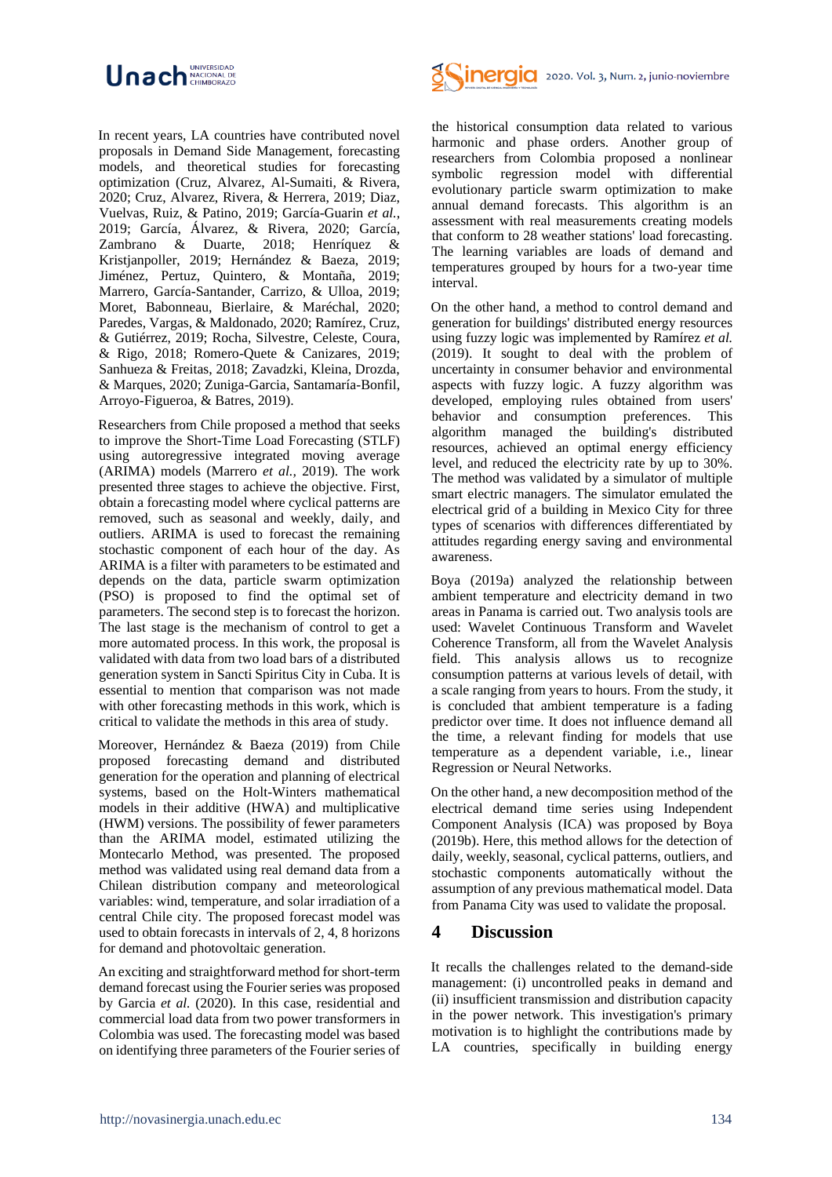

In recent years, LA countries have contributed novel proposals in Demand Side Management, forecasting models, and theoretical studies for forecasting optimization (Cruz, Alvarez, Al-Sumaiti, & Rivera, 2020; Cruz, Alvarez, Rivera, & Herrera, 2019; Diaz, Vuelvas, Ruiz, & Patino, 2019; García-Guarin *et al.*, 2019; García, Álvarez, & Rivera, 2020; García, Zambrano & Duarte, 2018; Henríquez & Kristjanpoller, 2019; Hernández & Baeza, 2019; Jiménez, Pertuz, Quintero, & Montaña, 2019; Marrero, García-Santander, Carrizo, & Ulloa, 2019; Moret, Babonneau, Bierlaire, & Maréchal, 2020; Paredes, Vargas, & Maldonado, 2020; Ramírez, Cruz, & Gutiérrez, 2019; Rocha, Silvestre, Celeste, Coura, & Rigo, 2018; Romero-Quete & Canizares, 2019; Sanhueza & Freitas, 2018; Zavadzki, Kleina, Drozda, & Marques, 2020; Zuniga-Garcia, Santamaría-Bonfil, Arroyo-Figueroa, & Batres, 2019).

Researchers from Chile proposed a method that seeks to improve the Short-Time Load Forecasting (STLF) using autoregressive integrated moving average (ARIMA) models (Marrero *et al.,* 2019). The work presented three stages to achieve the objective. First, obtain a forecasting model where cyclical patterns are removed, such as seasonal and weekly, daily, and outliers. ARIMA is used to forecast the remaining stochastic component of each hour of the day. As ARIMA is a filter with parameters to be estimated and depends on the data, particle swarm optimization (PSO) is proposed to find the optimal set of parameters. The second step is to forecast the horizon. The last stage is the mechanism of control to get a more automated process. In this work, the proposal is validated with data from two load bars of a distributed generation system in Sancti Spiritus City in Cuba. It is essential to mention that comparison was not made with other forecasting methods in this work, which is critical to validate the methods in this area of study.

Moreover, Hernández & Baeza (2019) from Chile proposed forecasting demand and distributed generation for the operation and planning of electrical systems, based on the Holt-Winters mathematical models in their additive (HWA) and multiplicative (HWM) versions. The possibility of fewer parameters than the ARIMA model, estimated utilizing the Montecarlo Method, was presented. The proposed method was validated using real demand data from a Chilean distribution company and meteorological variables: wind, temperature, and solar irradiation of a central Chile city. The proposed forecast model was used to obtain forecasts in intervals of 2, 4, 8 horizons for demand and photovoltaic generation.

An exciting and straightforward method for short-term demand forecast using the Fourier series was proposed by Garcia *et al.* (2020). In this case, residential and commercial load data from two power transformers in Colombia was used. The forecasting model was based on identifying three parameters of the Fourier series of



the historical consumption data related to various harmonic and phase orders. Another group of researchers from Colombia proposed a nonlinear symbolic regression model with differential evolutionary particle swarm optimization to make annual demand forecasts. This algorithm is an assessment with real measurements creating models that conform to 28 weather stations' load forecasting. The learning variables are loads of demand and temperatures grouped by hours for a two-year time interval.

On the other hand, a method to control demand and generation for buildings' distributed energy resources using fuzzy logic was implemented by Ramírez *et al.* (2019). It sought to deal with the problem of uncertainty in consumer behavior and environmental aspects with fuzzy logic. A fuzzy algorithm was developed, employing rules obtained from users' behavior and consumption preferences. This algorithm managed the building's distributed resources, achieved an optimal energy efficiency level, and reduced the electricity rate by up to 30%. The method was validated by a simulator of multiple smart electric managers. The simulator emulated the electrical grid of a building in Mexico City for three types of scenarios with differences differentiated by attitudes regarding energy saving and environmental awareness.

Boya (2019a) analyzed the relationship between ambient temperature and electricity demand in two areas in Panama is carried out. Two analysis tools are used: Wavelet Continuous Transform and Wavelet Coherence Transform, all from the Wavelet Analysis field. This analysis allows us to recognize consumption patterns at various levels of detail, with a scale ranging from years to hours. From the study, it is concluded that ambient temperature is a fading predictor over time. It does not influence demand all the time, a relevant finding for models that use temperature as a dependent variable, i.e., linear Regression or Neural Networks.

On the other hand, a new decomposition method of the electrical demand time series using Independent Component Analysis (ICA) was proposed by Boya (2019b). Here, this method allows for the detection of daily, weekly, seasonal, cyclical patterns, outliers, and stochastic components automatically without the assumption of any previous mathematical model. Data from Panama City was used to validate the proposal.

# **4 Discussion**

It recalls the challenges related to the demand-side management: (i) uncontrolled peaks in demand and (ii) insufficient transmission and distribution capacity in the power network. This investigation's primary motivation is to highlight the contributions made by LA countries, specifically in building energy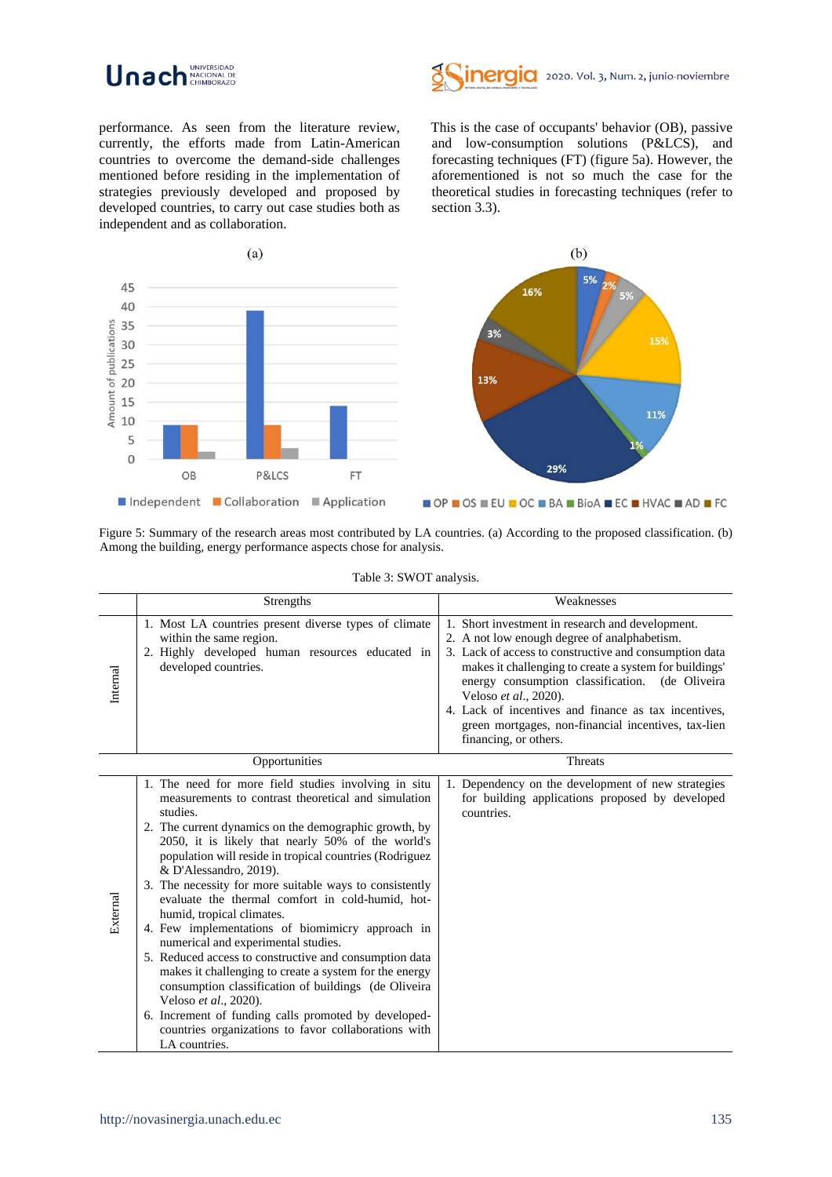



performance. As seen from the literature review, currently, the efforts made from Latin-American countries to overcome the demand-side challenges mentioned before residing in the implementation of strategies previously developed and proposed by developed countries, to carry out case studies both as independent and as collaboration.

This is the case of occupants' behavior (OB), passive and low-consumption solutions (P&LCS), and forecasting techniques (FT) (figure 5a). However, the aforementioned is not so much the case for the theoretical studies in forecasting techniques (refer to section 3.3).



Figure 5: Summary of the research areas most contributed by LA countries. (a) According to the proposed classification. (b) Among the building, energy performance aspects chose for analysis.

|          | Strengths                                                                                                                                                                                                                                                                                                                                                                                                                                                                                                                                                                                                                                                                                                                                                                                                                                                                                               | Weaknesses                                                                                                                                                                                                                                                                                                                                                                                                                               |
|----------|---------------------------------------------------------------------------------------------------------------------------------------------------------------------------------------------------------------------------------------------------------------------------------------------------------------------------------------------------------------------------------------------------------------------------------------------------------------------------------------------------------------------------------------------------------------------------------------------------------------------------------------------------------------------------------------------------------------------------------------------------------------------------------------------------------------------------------------------------------------------------------------------------------|------------------------------------------------------------------------------------------------------------------------------------------------------------------------------------------------------------------------------------------------------------------------------------------------------------------------------------------------------------------------------------------------------------------------------------------|
| Internal | 1. Most LA countries present diverse types of climate<br>within the same region.<br>2. Highly developed human resources educated in<br>developed countries.                                                                                                                                                                                                                                                                                                                                                                                                                                                                                                                                                                                                                                                                                                                                             | 1. Short investment in research and development.<br>2. A not low enough degree of analphabetism.<br>3. Lack of access to constructive and consumption data<br>makes it challenging to create a system for buildings'<br>energy consumption classification. (de Oliveira<br>Veloso et al., 2020).<br>4. Lack of incentives and finance as tax incentives,<br>green mortgages, non-financial incentives, tax-lien<br>financing, or others. |
|          | Opportunities                                                                                                                                                                                                                                                                                                                                                                                                                                                                                                                                                                                                                                                                                                                                                                                                                                                                                           | <b>Threats</b>                                                                                                                                                                                                                                                                                                                                                                                                                           |
| External | 1. The need for more field studies involving in situ<br>measurements to contrast theoretical and simulation<br>studies.<br>2. The current dynamics on the demographic growth, by<br>2050, it is likely that nearly 50% of the world's<br>population will reside in tropical countries (Rodriguez<br>& D'Alessandro, 2019).<br>3. The necessity for more suitable ways to consistently<br>evaluate the thermal comfort in cold-humid, hot-<br>humid, tropical climates.<br>4. Few implementations of biomimicry approach in<br>numerical and experimental studies.<br>5. Reduced access to constructive and consumption data<br>makes it challenging to create a system for the energy<br>consumption classification of buildings (de Oliveira<br>Veloso et al., 2020).<br>6. Increment of funding calls promoted by developed-<br>countries organizations to favor collaborations with<br>LA countries. | 1. Dependency on the development of new strategies<br>for building applications proposed by developed<br>countries.                                                                                                                                                                                                                                                                                                                      |

#### Table 3: SWOT analysis.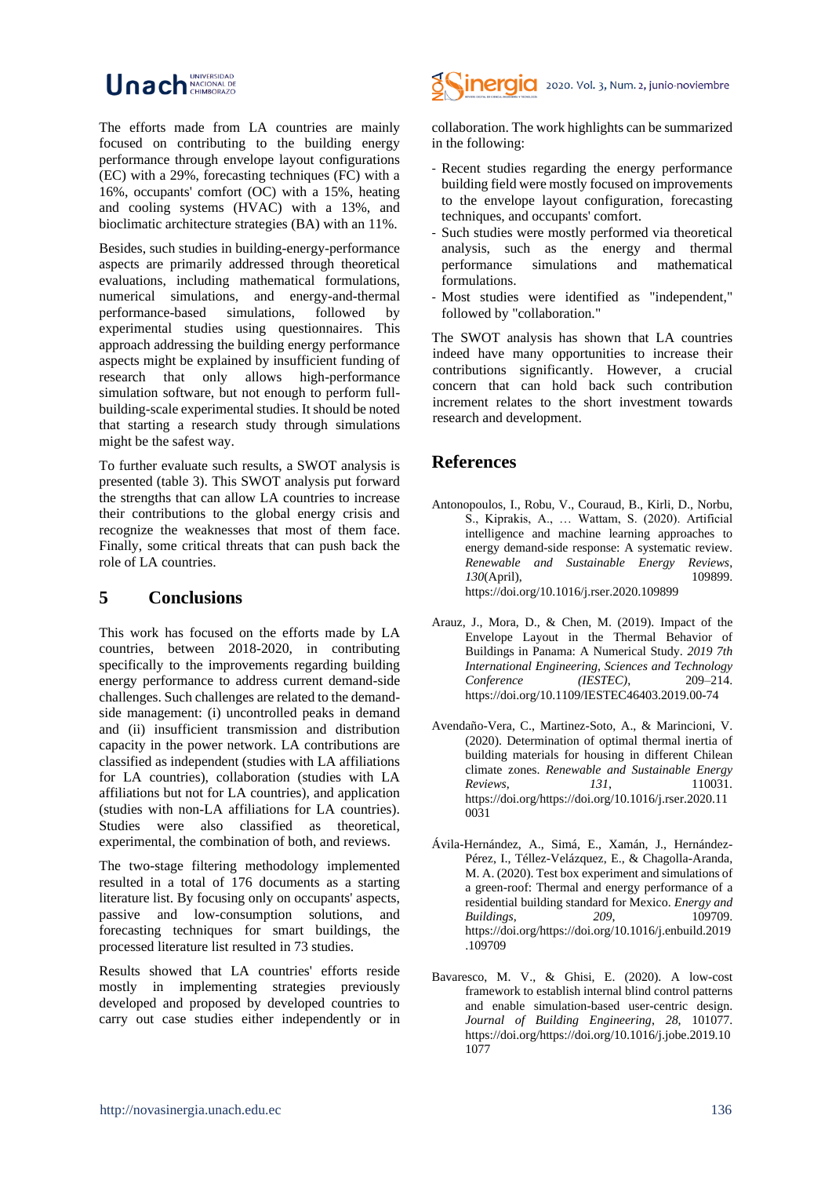#### Unach NACIONAL DE UNIVERSIDAD

The efforts made from LA countries are mainly focused on contributing to the building energy performance through envelope layout configurations (EC) with a 29%, forecasting techniques (FC) with a 16%, occupants' comfort (OC) with a 15%, heating and cooling systems (HVAC) with a 13%, and bioclimatic architecture strategies (BA) with an 11%.

Besides, such studies in building-energy-performance aspects are primarily addressed through theoretical evaluations, including mathematical formulations, numerical simulations, and energy-and-thermal performance-based simulations, followed by experimental studies using questionnaires. This approach addressing the building energy performance aspects might be explained by insufficient funding of research that only allows high-performance simulation software, but not enough to perform fullbuilding-scale experimental studies. It should be noted that starting a research study through simulations might be the safest way.

To further evaluate such results, a SWOT analysis is presented (table 3). This SWOT analysis put forward the strengths that can allow LA countries to increase their contributions to the global energy crisis and recognize the weaknesses that most of them face. Finally, some critical threats that can push back the role of LA countries.

# **5 Conclusions**

This work has focused on the efforts made by LA countries, between 2018-2020, in contributing specifically to the improvements regarding building energy performance to address current demand-side challenges. Such challenges are related to the demandside management: (i) uncontrolled peaks in demand and (ii) insufficient transmission and distribution capacity in the power network. LA contributions are classified as independent (studies with LA affiliations for LA countries), collaboration (studies with LA affiliations but not for LA countries), and application (studies with non-LA affiliations for LA countries). Studies were also classified as theoretical, experimental, the combination of both, and reviews.

The two-stage filtering methodology implemented resulted in a total of 176 documents as a starting literature list. By focusing only on occupants' aspects, passive and low-consumption solutions, and forecasting techniques for smart buildings, the processed literature list resulted in 73 studies.

Results showed that LA countries' efforts reside mostly in implementing strategies previously developed and proposed by developed countries to carry out case studies either independently or in



collaboration. The work highlights can be summarized in the following:

- Recent studies regarding the energy performance building field were mostly focused on improvements to the envelope layout configuration, forecasting techniques, and occupants' comfort.
- Such studies were mostly performed via theoretical analysis, such as the energy and thermal performance simulations and mathematical formulations.
- Most studies were identified as "independent," followed by "collaboration."

The SWOT analysis has shown that LA countries indeed have many opportunities to increase their contributions significantly. However, a crucial concern that can hold back such contribution increment relates to the short investment towards research and development.

# **References**

- Antonopoulos, I., Robu, V., Couraud, B., Kirli, D., Norbu, S., Kiprakis, A., … Wattam, S. (2020). Artificial intelligence and machine learning approaches to energy demand-side response: A systematic review. *Renewable and Sustainable Energy Reviews*, *130*(April), https://doi.org/10.1016/j.rser.2020.109899
- Arauz, J., Mora, D., & Chen, M. (2019). Impact of the Envelope Layout in the Thermal Behavior of Buildings in Panama: A Numerical Study. *2019 7th International Engineering, Sciences and Technology Conference (IESTEC)*, 209–214. https://doi.org/10.1109/IESTEC46403.2019.00-74
- Avendaño-Vera, C., Martinez-Soto, A., & Marincioni, V. (2020). Determination of optimal thermal inertia of building materials for housing in different Chilean climate zones. *Renewable and Sustainable Energy Reviews*, *131*, 110031. https://doi.org/https://doi.org/10.1016/j.rser.2020.11 0031
- Ávila-Hernández, A., Simá, E., Xamán, J., Hernández-Pérez, I., Téllez-Velázquez, E., & Chagolla-Aranda, M. A. (2020). Test box experiment and simulations of a green-roof: Thermal and energy performance of a residential building standard for Mexico. *Energy and Buildings*, *209*, 109709. https://doi.org/https://doi.org/10.1016/j.enbuild.2019 .109709
- Bavaresco, M. V., & Ghisi, E. (2020). A low-cost framework to establish internal blind control patterns and enable simulation-based user-centric design. *Journal of Building Engineering*, *28*, 101077. https://doi.org/https://doi.org/10.1016/j.jobe.2019.10 1077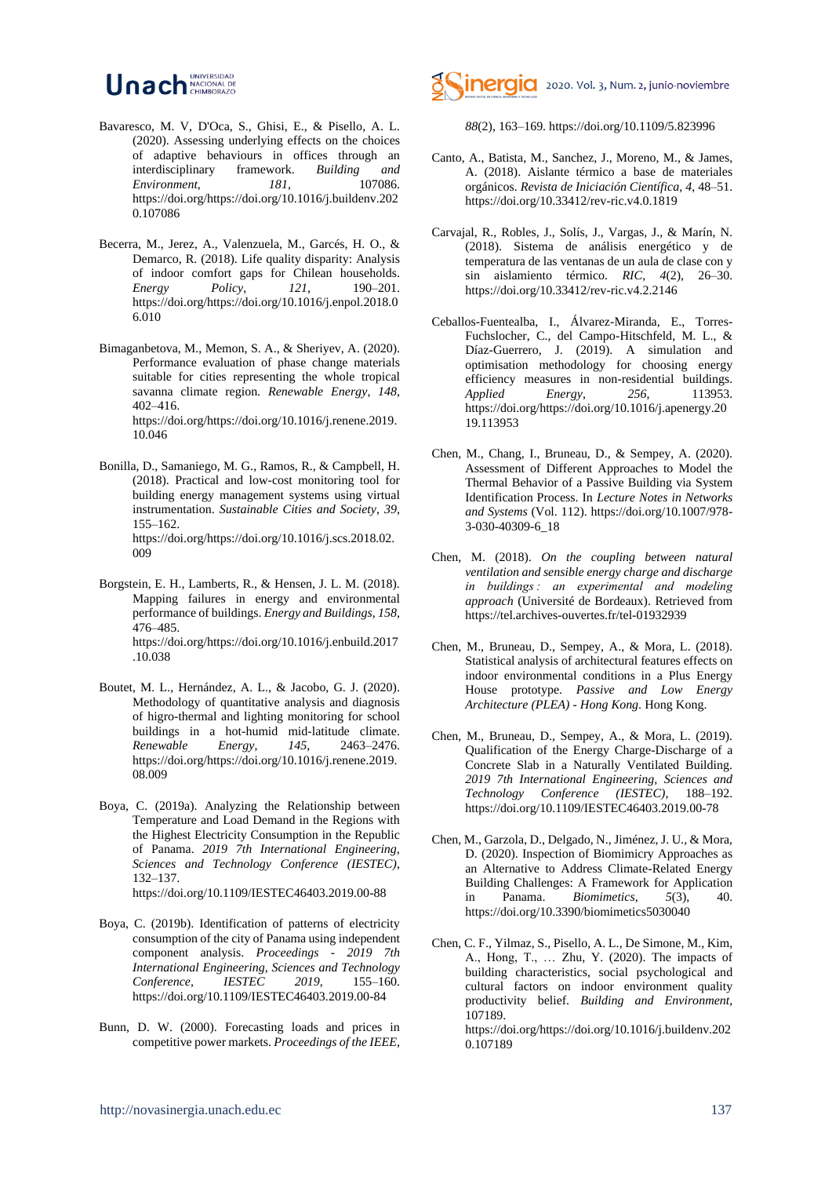#### Unach NACIONAL DE UNIVERSIDAD

- Bavaresco, M. V, D'Oca, S., Ghisi, E., & Pisello, A. L. (2020). Assessing underlying effects on the choices of adaptive behaviours in offices through an interdisciplinary framework. *Building and Environment*, *181*, 107086. https://doi.org/https://doi.org/10.1016/j.buildenv.202 0.107086
- Becerra, M., Jerez, A., Valenzuela, M., Garcés, H. O., & Demarco, R. (2018). Life quality disparity: Analysis of indoor comfort gaps for Chilean households.<br> *Energy Policy*, 121. 190-201. *Energy Policy*, *121*, 190–201. https://doi.org/https://doi.org/10.1016/j.enpol.2018.0 6.010
- Bimaganbetova, M., Memon, S. A., & Sheriyev, A. (2020). Performance evaluation of phase change materials suitable for cities representing the whole tropical savanna climate region. *Renewable Energy*, *148*, 402–416. https://doi.org/https://doi.org/10.1016/j.renene.2019. 10.046
- Bonilla, D., Samaniego, M. G., Ramos, R., & Campbell, H. (2018). Practical and low-cost monitoring tool for building energy management systems using virtual instrumentation. *Sustainable Cities and Society*, *39*, 155–162. https://doi.org/https://doi.org/10.1016/j.scs.2018.02. 009
- Borgstein, E. H., Lamberts, R., & Hensen, J. L. M. (2018). Mapping failures in energy and environmental performance of buildings. *Energy and Buildings*, *158*, 476–485. https://doi.org/https://doi.org/10.1016/j.enbuild.2017 .10.038
- Boutet, M. L., Hernández, A. L., & Jacobo, G. J. (2020). Methodology of quantitative analysis and diagnosis of higro-thermal and lighting monitoring for school buildings in a hot-humid mid-latitude climate. *Renewable Energy*, *145*, 2463–2476. https://doi.org/https://doi.org/10.1016/j.renene.2019. 08.009
- Boya, C. (2019a). Analyzing the Relationship between Temperature and Load Demand in the Regions with the Highest Electricity Consumption in the Republic of Panama. *2019 7th International Engineering, Sciences and Technology Conference (IESTEC)*, 132–137. https://doi.org/10.1109/IESTEC46403.2019.00-88
- Boya, C. (2019b). Identification of patterns of electricity consumption of the city of Panama using independent component analysis. *Proceedings - 2019 7th International Engineering, Sciences and Technology Conference, IESTEC 2019*, 155–160. https://doi.org/10.1109/IESTEC46403.2019.00-84
- Bunn, D. W. (2000). Forecasting loads and prices in competitive power markets. *Proceedings of the IEEE*,



*88*(2), 163–169. https://doi.org/10.1109/5.823996

- Canto, A., Batista, M., Sanchez, J., Moreno, M., & James, A. (2018). Aislante térmico a base de materiales orgánicos. *Revista de Iniciación Científica*, *4*, 48–51. https://doi.org/10.33412/rev-ric.v4.0.1819
- Carvajal, R., Robles, J., Solís, J., Vargas, J., & Marín, N. (2018). Sistema de análisis energético y de temperatura de las ventanas de un aula de clase con y sin aislamiento térmico. *RIC*, *4*(2), 26–30. https://doi.org/10.33412/rev-ric.v4.2.2146
- Ceballos-Fuentealba, I., Álvarez-Miranda, E., Torres-Fuchslocher, C., del Campo-Hitschfeld, M. L., & Díaz-Guerrero, J. (2019). A simulation and optimisation methodology for choosing energy efficiency measures in non-residential buildings. *Applied Energy*, *256*, 113953. https://doi.org/https://doi.org/10.1016/j.apenergy.20 19.113953
- Chen, M., Chang, I., Bruneau, D., & Sempey, A. (2020). Assessment of Different Approaches to Model the Thermal Behavior of a Passive Building via System Identification Process. In *Lecture Notes in Networks and Systems* (Vol. 112). https://doi.org/10.1007/978- 3-030-40309-6\_18
- Chen, M. (2018). *On the coupling between natural ventilation and sensible energy charge and discharge in buildings : an experimental and modeling approach* (Université de Bordeaux). Retrieved from https://tel.archives-ouvertes.fr/tel-01932939
- Chen, M., Bruneau, D., Sempey, A., & Mora, L. (2018). Statistical analysis of architectural features effects on indoor environmental conditions in a Plus Energy House prototype. *Passive and Low Energy Architecture (PLEA) - Hong Kong*. Hong Kong.
- Chen, M., Bruneau, D., Sempey, A., & Mora, L. (2019). Qualification of the Energy Charge-Discharge of a Concrete Slab in a Naturally Ventilated Building. *2019 7th International Engineering, Sciences and Technology Conference (IESTEC)*, 188–192. https://doi.org/10.1109/IESTEC46403.2019.00-78
- Chen, M., Garzola, D., Delgado, N., Jiménez, J. U., & Mora, D. (2020). Inspection of Biomimicry Approaches as an Alternative to Address Climate-Related Energy Building Challenges: A Framework for Application in Panama. *Biomimetics*, *5*(3), 40. https://doi.org/10.3390/biomimetics5030040
- Chen, C. F., Yilmaz, S., Pisello, A. L., De Simone, M., Kim, A., Hong, T., … Zhu, Y. (2020). The impacts of building characteristics, social psychological and cultural factors on indoor environment quality productivity belief. *Building and Environment*, 107189.

https://doi.org/https://doi.org/10.1016/j.buildenv.202 0.107189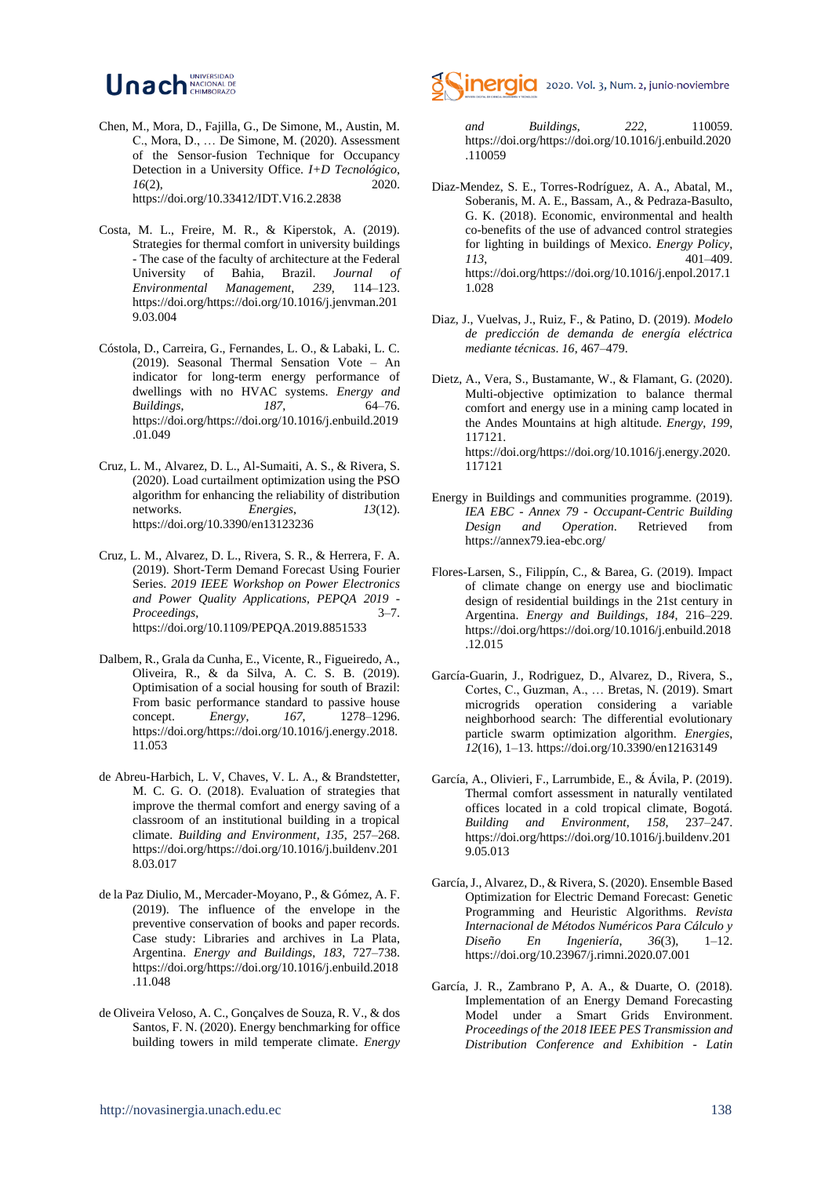#### Unacional DE UNIVERSIDAD

- Chen, M., Mora, D., Fajilla, G., De Simone, M., Austin, M. C., Mora, D., … De Simone, M. (2020). Assessment of the Sensor-fusion Technique for Occupancy Detection in a University Office. *I+D Tecnológico*, *16*(2), 2020. https://doi.org/10.33412/IDT.V16.2.2838
- Costa, M. L., Freire, M. R., & Kiperstok, A. (2019). Strategies for thermal comfort in university buildings - The case of the faculty of architecture at the Federal University of Bahia, Brazil. *Journal of Environmental Management*, *239*, 114–123. https://doi.org/https://doi.org/10.1016/j.jenvman.201 9.03.004
- Cóstola, D., Carreira, G., Fernandes, L. O., & Labaki, L. C. (2019). Seasonal Thermal Sensation Vote – An indicator for long-term energy performance of dwellings with no HVAC systems. *Energy and Buildings*, *187*, 64–76. https://doi.org/https://doi.org/10.1016/j.enbuild.2019 .01.049
- Cruz, L. M., Alvarez, D. L., Al-Sumaiti, A. S., & Rivera, S. (2020). Load curtailment optimization using the PSO algorithm for enhancing the reliability of distribution networks. *Energies*, *13*(12). https://doi.org/10.3390/en13123236
- Cruz, L. M., Alvarez, D. L., Rivera, S. R., & Herrera, F. A. (2019). Short-Term Demand Forecast Using Fourier Series. *2019 IEEE Workshop on Power Electronics and Power Quality Applications, PEPQA 2019 - Proceedings*, 3–7. https://doi.org/10.1109/PEPQA.2019.8851533
- Dalbem, R., Grala da Cunha, E., Vicente, R., Figueiredo, A., Oliveira, R., & da Silva, A. C. S. B. (2019). Optimisation of a social housing for south of Brazil: From basic performance standard to passive house concept. *Energy*, *167*, 1278–1296. https://doi.org/https://doi.org/10.1016/j.energy.2018. 11.053
- de Abreu-Harbich, L. V, Chaves, V. L. A., & Brandstetter, M. C. G. O. (2018). Evaluation of strategies that improve the thermal comfort and energy saving of a classroom of an institutional building in a tropical climate. *Building and Environment*, *135*, 257–268. https://doi.org/https://doi.org/10.1016/j.buildenv.201 8.03.017
- de la Paz Diulio, M., Mercader-Moyano, P., & Gómez, A. F. (2019). The influence of the envelope in the preventive conservation of books and paper records. Case study: Libraries and archives in La Plata, Argentina. *Energy and Buildings*, *183*, 727–738. https://doi.org/https://doi.org/10.1016/j.enbuild.2018 .11.048
- de Oliveira Veloso, A. C., Gonçalves de Souza, R. V., & dos Santos, F. N. (2020). Energy benchmarking for office building towers in mild temperate climate. *Energy*



*and Buildings*, *222*, 110059. https://doi.org/https://doi.org/10.1016/j.enbuild.2020 .110059

- Diaz-Mendez, S. E., Torres-Rodríguez, A. A., Abatal, M., Soberanis, M. A. E., Bassam, A., & Pedraza-Basulto, G. K. (2018). Economic, environmental and health co-benefits of the use of advanced control strategies for lighting in buildings of Mexico. *Energy Policy*, *113*, 401–409. https://doi.org/https://doi.org/10.1016/j.enpol.2017.1 1.028
- Diaz, J., Vuelvas, J., Ruiz, F., & Patino, D. (2019). *Modelo de predicción de demanda de energía eléctrica mediante técnicas*. *16*, 467–479.
- Dietz, A., Vera, S., Bustamante, W., & Flamant, G. (2020). Multi-objective optimization to balance thermal comfort and energy use in a mining camp located in the Andes Mountains at high altitude. *Energy*, *199*, 117121. https://doi.org/https://doi.org/10.1016/j.energy.2020. 117121
- Energy in Buildings and communities programme. (2019). *IEA EBC - Annex 79 - Occupant-Centric Building Design and Operation*. Retrieved from https://annex79.iea-ebc.org/
- Flores-Larsen, S., Filippín, C., & Barea, G. (2019). Impact of climate change on energy use and bioclimatic design of residential buildings in the 21st century in Argentina. *Energy and Buildings*, *184*, 216–229. https://doi.org/https://doi.org/10.1016/j.enbuild.2018 .12.015
- García-Guarin, J., Rodriguez, D., Alvarez, D., Rivera, S., Cortes, C., Guzman, A., … Bretas, N. (2019). Smart microgrids operation considering a variable neighborhood search: The differential evolutionary particle swarm optimization algorithm. *Energies*, *12*(16), 1–13. https://doi.org/10.3390/en12163149
- García, A., Olivieri, F., Larrumbide, E., & Ávila, P. (2019). Thermal comfort assessment in naturally ventilated offices located in a cold tropical climate, Bogotá. *Building and Environment*, *158*, 237–247. https://doi.org/https://doi.org/10.1016/j.buildenv.201 9.05.013
- García, J., Alvarez, D., & Rivera, S. (2020). Ensemble Based Optimization for Electric Demand Forecast: Genetic Programming and Heuristic Algorithms. *Revista Internacional de Métodos Numéricos Para Cálculo y Diseño En Ingeniería*, *36*(3), 1–12. https://doi.org/10.23967/j.rimni.2020.07.001
- García, J. R., Zambrano P, A. A., & Duarte, O. (2018). Implementation of an Energy Demand Forecasting Model under a Smart Grids Environment. *Proceedings of the 2018 IEEE PES Transmission and Distribution Conference and Exhibition - Latin*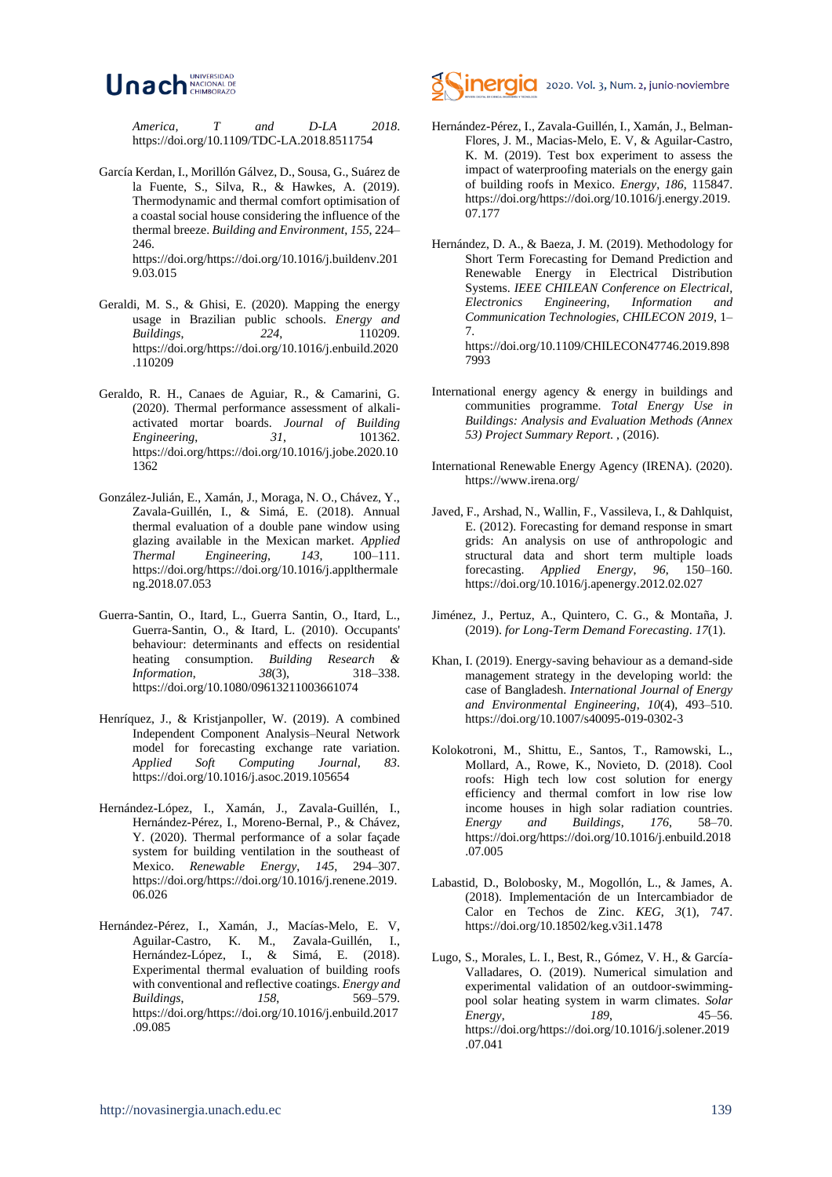

*America, T and D-LA 2018*. https://doi.org/10.1109/TDC-LA.2018.8511754

García Kerdan, I., Morillón Gálvez, D., Sousa, G., Suárez de la Fuente, S., Silva, R., & Hawkes, A. (2019). Thermodynamic and thermal comfort optimisation of a coastal social house considering the influence of the thermal breeze. *Building and Environment*, *155*, 224– 246

https://doi.org/https://doi.org/10.1016/j.buildenv.201 9.03.015

- Geraldi, M. S., & Ghisi, E. (2020). Mapping the energy usage in Brazilian public schools. *Energy and Buildings*, *224*, 110209. https://doi.org/https://doi.org/10.1016/j.enbuild.2020 .110209
- Geraldo, R. H., Canaes de Aguiar, R., & Camarini, G. (2020). Thermal performance assessment of alkaliactivated mortar boards. *Journal of Building Engineering*, *31*, 101362. https://doi.org/https://doi.org/10.1016/j.jobe.2020.10 1362
- González-Julián, E., Xamán, J., Moraga, N. O., Chávez, Y., Zavala-Guillén, I., & Simá, E. (2018). Annual thermal evaluation of a double pane window using glazing available in the Mexican market. *Applied Thermal Engineering*, *143*, 100–111. https://doi.org/https://doi.org/10.1016/j.applthermale ng.2018.07.053
- Guerra-Santin, O., Itard, L., Guerra Santin, O., Itard, L., Guerra-Santin, O., & Itard, L. (2010). Occupants' behaviour: determinants and effects on residential heating consumption. *Building Research & Information*, *38*(3), 318–338. https://doi.org/10.1080/09613211003661074
- Henríquez, J., & Kristjanpoller, W. (2019). A combined Independent Component Analysis–Neural Network model for forecasting exchange rate variation.<br>Applied Soft Computing Journal 83 *Applied Soft Computing* https://doi.org/10.1016/j.asoc.2019.105654
- Hernández-López, I., Xamán, J., Zavala-Guillén, I., Hernández-Pérez, I., Moreno-Bernal, P., & Chávez, Y. (2020). Thermal performance of a solar façade system for building ventilation in the southeast of Mexico. *Renewable Energy*, *145*, 294–307. https://doi.org/https://doi.org/10.1016/j.renene.2019. 06.026
- Hernández-Pérez, I., Xamán, J., Macías-Melo, E. V, Aguilar-Castro, K. M., Zavala-Guillén, I., Hernández-López, I., & Simá, E. (2018). Experimental thermal evaluation of building roofs with conventional and reflective coatings. *Energy and Buildings*, *158*, 569–579. https://doi.org/https://doi.org/10.1016/j.enbuild.2017 .09.085



- Hernández-Pérez, I., Zavala-Guillén, I., Xamán, J., Belman-Flores, J. M., Macias-Melo, E. V, & Aguilar-Castro, K. M. (2019). Test box experiment to assess the impact of waterproofing materials on the energy gain of building roofs in Mexico. *Energy*, *186*, 115847. https://doi.org/https://doi.org/10.1016/j.energy.2019. 07.177
- Hernández, D. A., & Baeza, J. M. (2019). Methodology for Short Term Forecasting for Demand Prediction and Renewable Energy in Electrical Distribution Systems. *IEEE CHILEAN Conference on Electrical, Electronics Engineering, Information and Communication Technologies, CHILECON 2019*, 1– 7. https://doi.org/10.1109/CHILECON47746.2019.898
- International energy agency & energy in buildings and communities programme. *Total Energy Use in Buildings: Analysis and Evaluation Methods (Annex 53) Project Summary Report*. , (2016).

7993

- International Renewable Energy Agency (IRENA). (2020). https://www.irena.org/
- Javed, F., Arshad, N., Wallin, F., Vassileva, I., & Dahlquist, E. (2012). Forecasting for demand response in smart grids: An analysis on use of anthropologic and structural data and short term multiple loads forecasting. *Applied Energy*, *96*, 150–160. https://doi.org/10.1016/j.apenergy.2012.02.027
- Jiménez, J., Pertuz, A., Quintero, C. G., & Montaña, J. (2019). *for Long-Term Demand Forecasting*. *17*(1).
- Khan, I. (2019). Energy-saving behaviour as a demand-side management strategy in the developing world: the case of Bangladesh. *International Journal of Energy and Environmental Engineering*, *10*(4), 493–510. https://doi.org/10.1007/s40095-019-0302-3
- Kolokotroni, M., Shittu, E., Santos, T., Ramowski, L., Mollard, A., Rowe, K., Novieto, D. (2018). Cool roofs: High tech low cost solution for energy efficiency and thermal comfort in low rise low income houses in high solar radiation countries. *Energy and Buildings*, *176*, 58–70. https://doi.org/https://doi.org/10.1016/j.enbuild.2018 .07.005
- Labastid, D., Bolobosky, M., Mogollón, L., & James, A. (2018). Implementación de un Intercambiador de Calor en Techos de Zinc. *KEG*, *3*(1), 747. https://doi.org/10.18502/keg.v3i1.1478
- Lugo, S., Morales, L. I., Best, R., Gómez, V. H., & García-Valladares, O. (2019). Numerical simulation and experimental validation of an outdoor-swimmingpool solar heating system in warm climates. *Solar Energy*, *189*, 45–56. https://doi.org/https://doi.org/10.1016/j.solener.2019 .07.041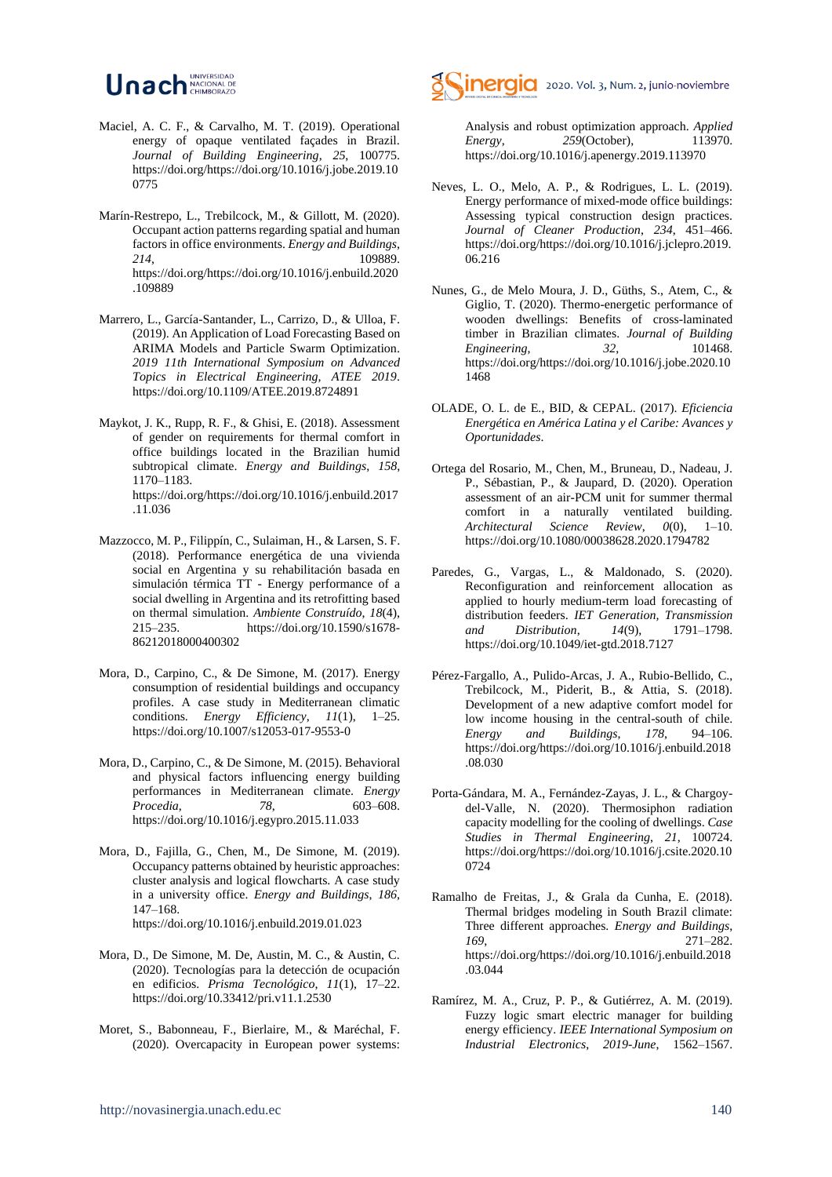#### Unach NACIONAL DE UNIVERSIDAD

- Maciel, A. C. F., & Carvalho, M. T. (2019). Operational energy of opaque ventilated façades in Brazil. *Journal of Building Engineering*, *25*, 100775. https://doi.org/https://doi.org/10.1016/j.jobe.2019.10 0775
- Marín-Restrepo, L., Trebilcock, M., & Gillott, M. (2020). Occupant action patterns regarding spatial and human factors in office environments. *Energy and Buildings*, *214*, 109889. https://doi.org/https://doi.org/10.1016/j.enbuild.2020 .109889
- Marrero, L., García-Santander, L., Carrizo, D., & Ulloa, F. (2019). An Application of Load Forecasting Based on ARIMA Models and Particle Swarm Optimization. *2019 11th International Symposium on Advanced Topics in Electrical Engineering, ATEE 2019*. https://doi.org/10.1109/ATEE.2019.8724891
- Maykot, J. K., Rupp, R. F., & Ghisi, E. (2018). Assessment of gender on requirements for thermal comfort in office buildings located in the Brazilian humid subtropical climate. *Energy and Buildings*, *158*, 1170–1183. https://doi.org/https://doi.org/10.1016/j.enbuild.2017 .11.036
- Mazzocco, M. P., Filippín, C., Sulaiman, H., & Larsen, S. F. (2018). Performance energética de una vivienda social en Argentina y su rehabilitación basada en simulación térmica TT - Energy performance of a social dwelling in Argentina and its retrofitting based on thermal simulation. *Ambiente Construído*, *18*(4), 215–235. https://doi.org/10.1590/s1678- 86212018000400302
- Mora, D., Carpino, C., & De Simone, M. (2017). Energy consumption of residential buildings and occupancy profiles. A case study in Mediterranean climatic conditions. *Energy Efficiency*, *11*(1), 1–25. https://doi.org/10.1007/s12053-017-9553-0
- Mora, D., Carpino, C., & De Simone, M. (2015). Behavioral and physical factors influencing energy building performances in Mediterranean climate. *Energy Procedia*, *78*, 603–608. https://doi.org/10.1016/j.egypro.2015.11.033
- Mora, D., Fajilla, G., Chen, M., De Simone, M. (2019). Occupancy patterns obtained by heuristic approaches: cluster analysis and logical flowcharts. A case study in a university office. *Energy and Buildings*, *186*, 147–168. https://doi.org/10.1016/j.enbuild.2019.01.023
- Mora, D., De Simone, M. De, Austin, M. C., & Austin, C. (2020). Tecnologías para la detección de ocupación en edificios. *Prisma Tecnológico*, *11*(1), 17–22. https://doi.org/10.33412/pri.v11.1.2530
- Moret, S., Babonneau, F., Bierlaire, M., & Maréchal, F. (2020). Overcapacity in European power systems:



Analysis and robust optimization approach. *Applied Energy*, *259*(October), 113970. https://doi.org/10.1016/j.apenergy.2019.113970

- Neves, L. O., Melo, A. P., & Rodrigues, L. L. (2019). Energy performance of mixed-mode office buildings: Assessing typical construction design practices. *Journal of Cleaner Production*, *234*, 451–466. https://doi.org/https://doi.org/10.1016/j.jclepro.2019. 06.216
- Nunes, G., de Melo Moura, J. D., Güths, S., Atem, C., & Giglio, T. (2020). Thermo-energetic performance of wooden dwellings: Benefits of cross-laminated timber in Brazilian climates. *Journal of Building Engineering*, *32*, 101468. https://doi.org/https://doi.org/10.1016/j.jobe.2020.10 1468
- OLADE, O. L. de E., BID, & CEPAL. (2017). *Eficiencia Energética en América Latina y el Caribe: Avances y Oportunidades*.
- Ortega del Rosario, M., Chen, M., Bruneau, D., Nadeau, J. P., Sébastian, P., & Jaupard, D. (2020). Operation assessment of an air-PCM unit for summer thermal comfort in a naturally ventilated building. *Architectural Science Review*, *0*(0), 1–10. https://doi.org/10.1080/00038628.2020.1794782
- Paredes, G., Vargas, L., & Maldonado, S. (2020). Reconfiguration and reinforcement allocation as applied to hourly medium-term load forecasting of distribution feeders. *IET Generation, Transmission and Distribution*, *14*(9), 1791–1798. https://doi.org/10.1049/iet-gtd.2018.7127
- Pérez-Fargallo, A., Pulido-Arcas, J. A., Rubio-Bellido, C., Trebilcock, M., Piderit, B., & Attia, S. (2018). Development of a new adaptive comfort model for low income housing in the central-south of chile. *Energy and Buildings*, *178*, 94–106. https://doi.org/https://doi.org/10.1016/j.enbuild.2018 .08.030
- Porta-Gándara, M. A., Fernández-Zayas, J. L., & Chargoydel-Valle, N. (2020). Thermosiphon radiation capacity modelling for the cooling of dwellings. *Case Studies in Thermal Engineering*, *21*, 100724. https://doi.org/https://doi.org/10.1016/j.csite.2020.10 0724
- Ramalho de Freitas, J., & Grala da Cunha, E. (2018). Thermal bridges modeling in South Brazil climate: Three different approaches. *Energy and Buildings*, *169*, 271–282. https://doi.org/https://doi.org/10.1016/j.enbuild.2018 .03.044
- Ramírez, M. A., Cruz, P. P., & Gutiérrez, A. M. (2019). Fuzzy logic smart electric manager for building energy efficiency. *IEEE International Symposium on Industrial Electronics*, *2019*-*June*, 1562–1567.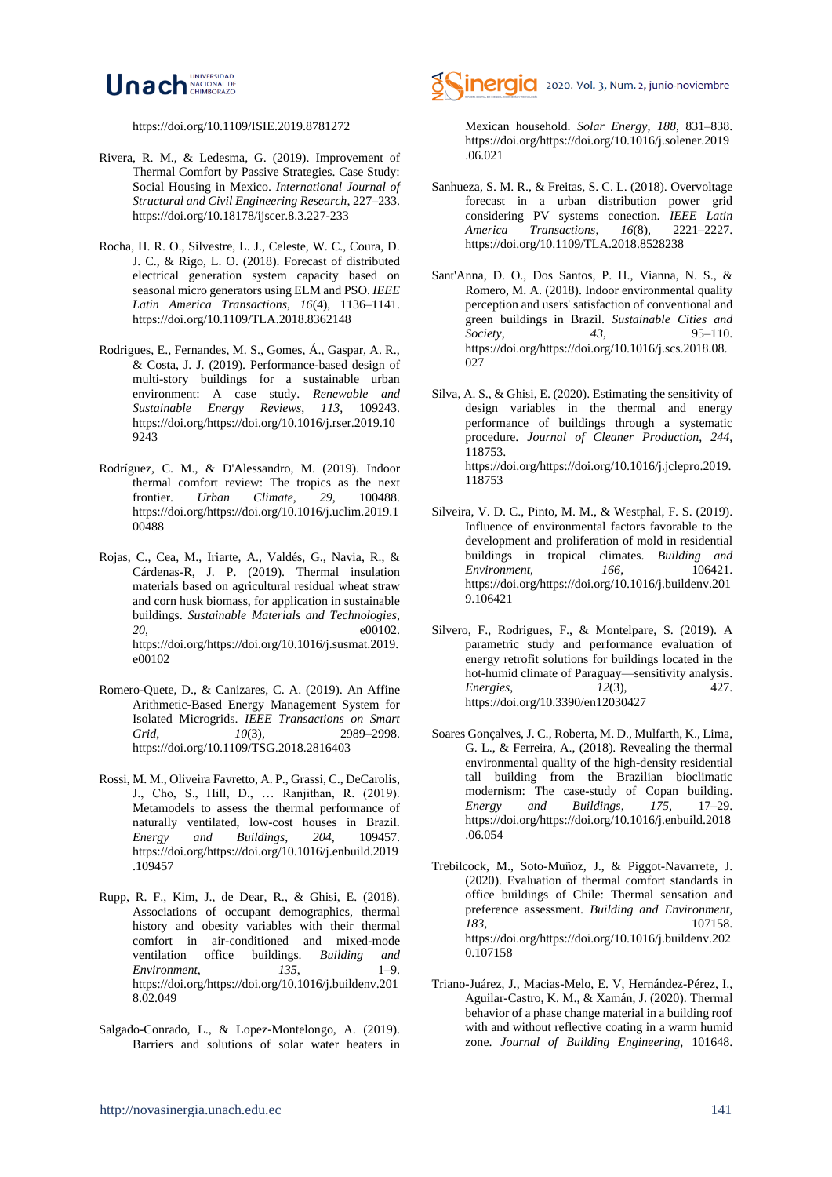

https://doi.org/10.1109/ISIE.2019.8781272

- Rivera, R. M., & Ledesma, G. (2019). Improvement of Thermal Comfort by Passive Strategies. Case Study: Social Housing in Mexico. *International Journal of Structural and Civil Engineering Research*, 227–233. https://doi.org/10.18178/ijscer.8.3.227-233
- Rocha, H. R. O., Silvestre, L. J., Celeste, W. C., Coura, D. J. C., & Rigo, L. O. (2018). Forecast of distributed electrical generation system capacity based on seasonal micro generators using ELM and PSO. *IEEE Latin America Transactions*, *16*(4), 1136–1141. https://doi.org/10.1109/TLA.2018.8362148
- Rodrigues, E., Fernandes, M. S., Gomes, Á., Gaspar, A. R., & Costa, J. J. (2019). Performance-based design of multi-story buildings for a sustainable urban environment: A case study. *Renewable and Sustainable Energy Reviews*, *113*, 109243. https://doi.org/https://doi.org/10.1016/j.rser.2019.10 9243
- Rodríguez, C. M., & D'Alessandro, M. (2019). Indoor thermal comfort review: The tropics as the next frontier. *Urban Climate*, *29*, 100488. https://doi.org/https://doi.org/10.1016/j.uclim.2019.1 00488
- Rojas, C., Cea, M., Iriarte, A., Valdés, G., Navia, R., & Cárdenas-R, J. P. (2019). Thermal insulation materials based on agricultural residual wheat straw and corn husk biomass, for application in sustainable buildings. *Sustainable Materials and Technologies*, *20*, e00102. https://doi.org/https://doi.org/10.1016/j.susmat.2019. e00102
- Romero-Quete, D., & Canizares, C. A. (2019). An Affine Arithmetic-Based Energy Management System for Isolated Microgrids. *IEEE Transactions on Smart Grid*, *10*(3), 2989–2998. https://doi.org/10.1109/TSG.2018.2816403
- Rossi, M. M., Oliveira Favretto, A. P., Grassi, C., DeCarolis, J., Cho, S., Hill, D., … Ranjithan, R. (2019). Metamodels to assess the thermal performance of naturally ventilated, low-cost houses in Brazil. *Energy and Buildings*, *204*, 109457. https://doi.org/https://doi.org/10.1016/j.enbuild.2019 .109457
- Rupp, R. F., Kim, J., de Dear, R., & Ghisi, E. (2018). Associations of occupant demographics, thermal history and obesity variables with their thermal comfort in air-conditioned and mixed-mode ventilation office buildings. *Building and Environment*, *135*, 1–9. https://doi.org/https://doi.org/10.1016/j.buildenv.201 8.02.049
- Salgado-Conrado, L., & Lopez-Montelongo, A. (2019). Barriers and solutions of solar water heaters in



Mexican household. *Solar Energy*, *188*, 831–838. https://doi.org/https://doi.org/10.1016/j.solener.2019 .06.021

- Sanhueza, S. M. R., & Freitas, S. C. L. (2018). Overvoltage forecast in a urban distribution power grid considering PV systems conection. *IEEE Latin America Transactions, 16(8),* https://doi.org/10.1109/TLA.2018.8528238
- Sant'Anna, D. O., Dos Santos, P. H., Vianna, N. S., & Romero, M. A. (2018). Indoor environmental quality perception and users' satisfaction of conventional and green buildings in Brazil. *Sustainable Cities and Society*, *43*, 95–110. https://doi.org/https://doi.org/10.1016/j.scs.2018.08. 027
- Silva, A. S., & Ghisi, E. (2020). Estimating the sensitivity of design variables in the thermal and energy performance of buildings through a systematic procedure. *Journal of Cleaner Production*, *244*, 118753. https://doi.org/https://doi.org/10.1016/j.jclepro.2019. 118753
- Silveira, V. D. C., Pinto, M. M., & Westphal, F. S. (2019). Influence of environmental factors favorable to the development and proliferation of mold in residential buildings in tropical climates. *Building and Environment*, *166*, 106421. https://doi.org/https://doi.org/10.1016/j.buildenv.201 9.106421
- Silvero, F., Rodrigues, F., & Montelpare, S. (2019). A parametric study and performance evaluation of energy retrofit solutions for buildings located in the hot-humid climate of Paraguay—sensitivity analysis.<br>*Energies.* 12(3). 427. *Energies*, *12*(3), 427. https://doi.org/10.3390/en12030427
- Soares Gonçalves, J. C., Roberta, M. D., Mulfarth, K., Lima, G. L., & Ferreira, A., (2018). Revealing the thermal environmental quality of the high-density residential tall building from the Brazilian bioclimatic modernism: The case-study of Copan building. *Energy and Buildings*, *175*, 17–29. https://doi.org/https://doi.org/10.1016/j.enbuild.2018 .06.054
- Trebilcock, M., Soto-Muñoz, J., & Piggot-Navarrete, J. (2020). Evaluation of thermal comfort standards in office buildings of Chile: Thermal sensation and preference assessment. *Building and Environment*, *183*, 107158. https://doi.org/https://doi.org/10.1016/j.buildenv.202 0.107158
- Triano-Juárez, J., Macias-Melo, E. V, Hernández-Pérez, I., Aguilar-Castro, K. M., & Xamán, J. (2020). Thermal behavior of a phase change material in a building roof with and without reflective coating in a warm humid zone. *Journal of Building Engineering*, 101648.